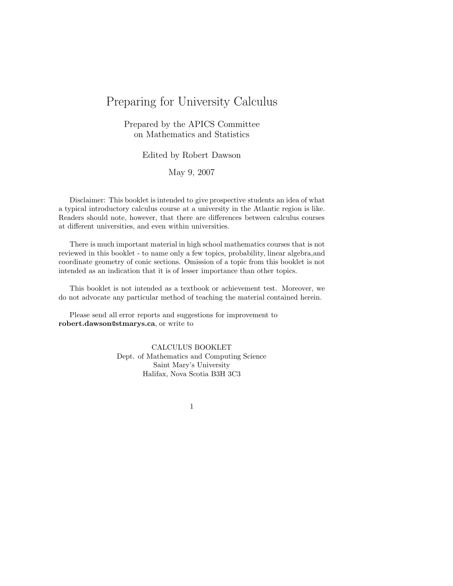# Preparing for University Calculus

### Prepared by the APICS Committee on Mathematics and Statistics

### Edited by Robert Dawson

### May 9, 2007

Disclaimer: This booklet is intended to give prospective students an idea of what a typical introductory calculus course at a university in the Atlantic region is like. Readers should note, however, that there are differences between calculus courses at different universities, and even within universities.

There is much important material in high school mathematics courses that is not reviewed in this booklet - to name only a few topics, probability, linear algebra,and coordinate geometry of conic sections. Omission of a topic from this booklet is not intended as an indication that it is of lesser importance than other topics.

This booklet is not intended as a textbook or achievement test. Moreover, we do not advocate any particular method of teaching the material contained herein.

Please send all error reports and suggestions for improvement to **robert.dawson**@**stmarys.ca**, or write to

> CALCULUS BOOKLET Dept. of Mathematics and Computing Science Saint Mary's University Halifax, Nova Scotia B3H 3C3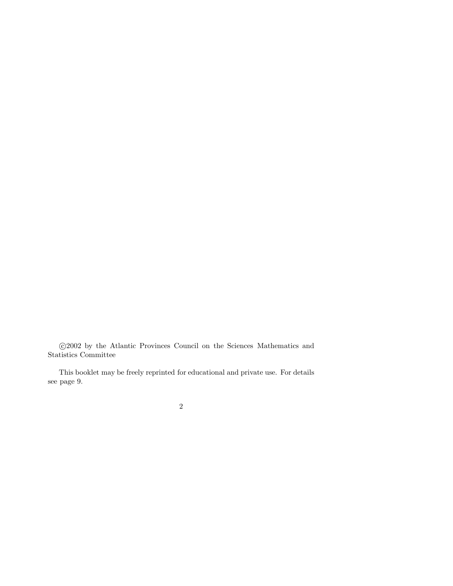c 2002 by the Atlantic Provinces Council on the Sciences Mathematics and Statistics Committee

This booklet may be freely reprinted for educational and private use. For details see page 9.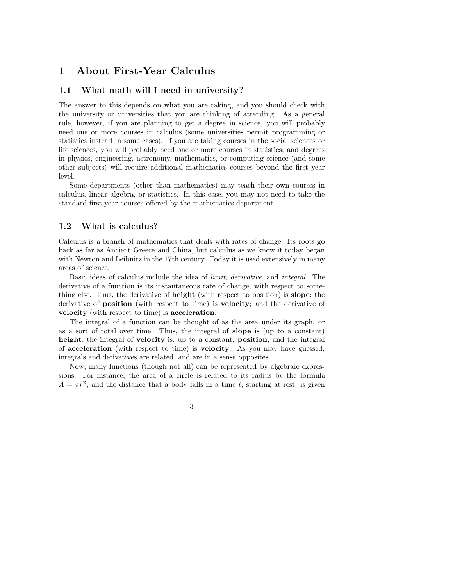## **1 About First-Year Calculus**

### **1.1 What math will I need in university?**

The answer to this depends on what you are taking, and you should check with the university or universities that you are thinking of attending. As a general rule, however, if you are planning to get a degree in science, you will probably need one or more courses in calculus (some universities permit programming or statistics instead in some cases). If you are taking courses in the social sciences or life sciences, you will probably need one or more courses in statistics; and degrees in physics, engineering, astronomy, mathematics, or computing science (and some other subjects) will require additional mathematics courses beyond the first year level.

Some departments (other than mathematics) may teach their own courses in calculus, linear algebra, or statistics. In this case, you may not need to take the standard first-year courses offered by the mathematics department.

### **1.2 What is calculus?**

Calculus is a branch of mathematics that deals with rates of change. Its roots go back as far as Ancient Greece and China, but calculus as we know it today began with Newton and Leibnitz in the 17<sup>th</sup> century. Today it is used extensively in many areas of science.

Basic ideas of calculus include the idea of limit, derivative, and integral. The derivative of a function is its instantaneous rate of change, with respect to something else. Thus, the derivative of **height** (with respect to position) is **slope**; the derivative of **position** (with respect to time) is **velocity**; and the derivative of **velocity** (with respect to time) is **acceleration**.

The integral of a function can be thought of as the area under its graph, or as a sort of total over time. Thus, the integral of **slope** is (up to a constant) **height**; the integral of **velocity** is, up to a constant, **position**; and the integral of **acceleration** (with respect to time) is **velocity**. As you may have guessed, integrals and derivatives are related, and are in a sense opposites.

Now, many functions (though not all) can be represented by algebraic expressions. For instance, the area of a circle is related to its radius by the formula  $A = \pi r^2$ ; and the distance that a body falls in a time *t*, starting at rest, is given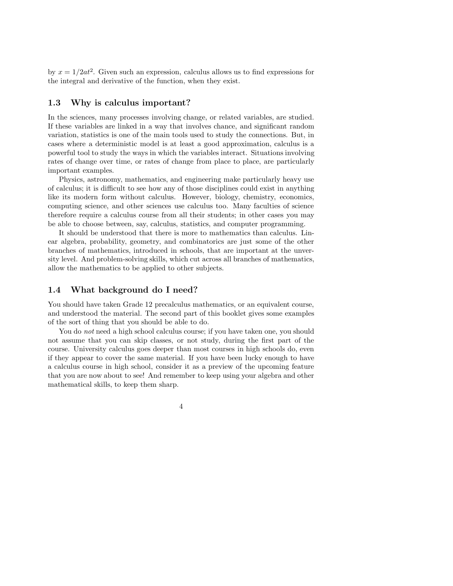by  $x = 1/2at^2$ . Given such an expression, calculus allows us to find expressions for the integral and derivative of the function, when they exist.

### **1.3 Why is calculus important?**

In the sciences, many processes involving change, or related variables, are studied. If these variables are linked in a way that involves chance, and significant random variation, statistics is one of the main tools used to study the connections. But, in cases where a deterministic model is at least a good approximation, calculus is a powerful tool to study the ways in which the variables interact. Situations involving rates of change over time, or rates of change from place to place, are particularly important examples.

Physics, astronomy, mathematics, and engineering make particularly heavy use of calculus; it is difficult to see how any of those disciplines could exist in anything like its modern form without calculus. However, biology, chemistry, economics, computing science, and other sciences use calculus too. Many faculties of science therefore require a calculus course from all their students; in other cases you may be able to choose between, say, calculus, statistics, and computer programming.

It should be understood that there is more to mathematics than calculus. Linear algebra, probability, geometry, and combinatorics are just some of the other branches of mathematics, introduced in schools, that are important at the unversity level. And problem-solving skills, which cut across all branches of mathematics, allow the mathematics to be applied to other subjects.

### **1.4 What background do I need?**

You should have taken Grade 12 precalculus mathematics, or an equivalent course, and understood the material. The second part of this booklet gives some examples of the sort of thing that you should be able to do.

You do *not* need a high school calculus course; if you have taken one, you should not assume that you can skip classes, or not study, during the first part of the course. University calculus goes deeper than most courses in high schools do, even if they appear to cover the same material. If you have been lucky enough to have a calculus course in high school, consider it as a preview of the upcoming feature that you are now about to see! And remember to keep using your algebra and other mathematical skills, to keep them sharp.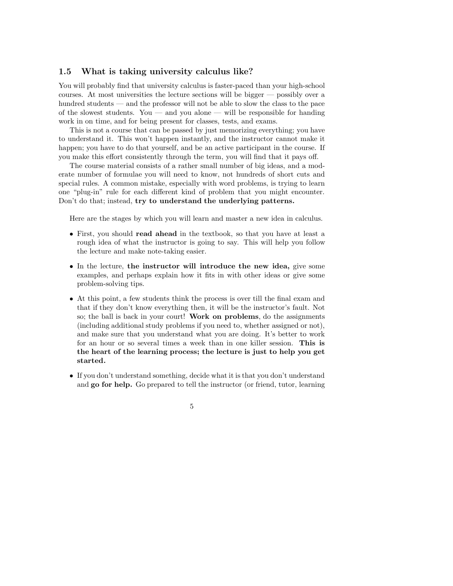### **1.5 What is taking university calculus like?**

You will probably find that university calculus is faster-paced than your high-school courses. At most universities the lecture sections will be bigger — possibly over a hundred students — and the professor will not be able to slow the class to the pace of the slowest students. You — and you alone — will be responsible for handing work in on time, and for being present for classes, tests, and exams.

This is not a course that can be passed by just memorizing everything; you have to understand it. This won't happen instantly, and the instructor cannot make it happen; you have to do that yourself, and be an active participant in the course. If you make this effort consistently through the term, you will find that it pays off.

The course material consists of a rather small number of big ideas, and a moderate number of formulae you will need to know, not hundreds of short cuts and special rules. A common mistake, especially with word problems, is trying to learn one "plug-in" rule for each different kind of problem that you might encounter. Don't do that; instead, **try to understand the underlying patterns.**

Here are the stages by which you will learn and master a new idea in calculus.

- First, you should **read ahead** in the textbook, so that you have at least a rough idea of what the instructor is going to say. This will help you follow the lecture and make note-taking easier.
- In the lecture, **the instructor will introduce the new idea,** give some examples, and perhaps explain how it fits in with other ideas or give some problem-solving tips.
- At this point, a few students think the process is over till the final exam and that if they don't know everything then, it will be the instructor's fault. Not so; the ball is back in your court! **Work on problems**, do the assignments (including additional study problems if you need to, whether assigned or not), and make sure that you understand what you are doing. It's better to work for an hour or so several times a week than in one killer session. **This is the heart of the learning process; the lecture is just to help you get started.**
- If you don't understand something, decide what it is that you don't understand and **go for help.** Go prepared to tell the instructor (or friend, tutor, learning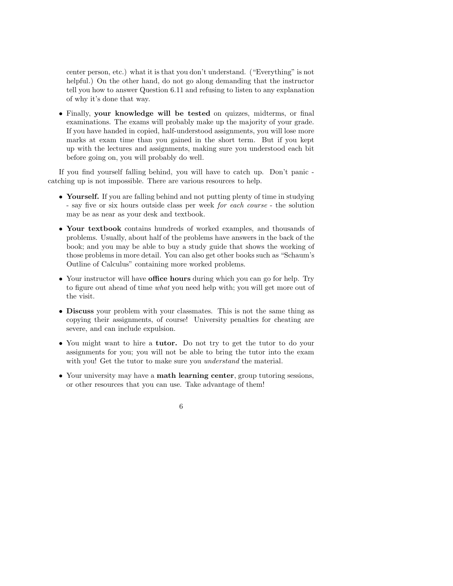center person, etc.) what it is that you don't understand. ("Everything" is not helpful.) On the other hand, do not go along demanding that the instructor tell you how to answer Question 6.11 and refusing to listen to any explanation of why it's done that way.

• Finally, **your knowledge will be tested** on quizzes, midterms, or final examinations. The exams will probably make up the majority of your grade. If you have handed in copied, half-understood assignments, you will lose more marks at exam time than you gained in the short term. But if you kept up with the lectures and assignments, making sure you understood each bit before going on, you will probably do well.

If you find yourself falling behind, you will have to catch up. Don't panic catching up is not impossible. There are various resources to help.

- **Yourself.** If you are falling behind and not putting plenty of time in studying - say five or six hours outside class per week for each course - the solution may be as near as your desk and textbook.
- **Your textbook** contains hundreds of worked examples, and thousands of problems. Usually, about half of the problems have answers in the back of the book; and you may be able to buy a study guide that shows the working of those problems in more detail. You can also get other books such as "Schaum's Outline of Calculus" containing more worked problems.
- Your instructor will have **office hours** during which you can go for help. Try to figure out ahead of time what you need help with; you will get more out of the visit.
- **Discuss** your problem with your classmates. This is not the same thing as copying their assignments, of course! University penalties for cheating are severe, and can include expulsion.
- You might want to hire a **tutor.** Do not try to get the tutor to do your assignments for you; you will not be able to bring the tutor into the exam with you! Get the tutor to make sure you *understand* the material.
- Your university may have a **math learning center**, group tutoring sessions, or other resources that you can use. Take advantage of them!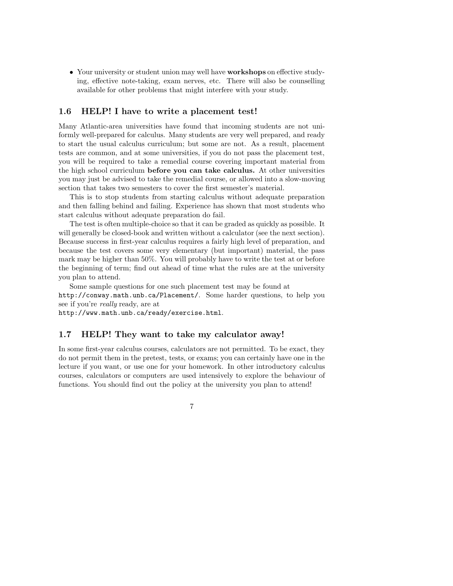• Your university or student union may well have **workshops** on effective studying, effective note-taking, exam nerves, etc. There will also be counselling available for other problems that might interfere with your study.

### **1.6 HELP! I have to write a placement test!**

Many Atlantic-area universities have found that incoming students are not uniformly well-prepared for calculus. Many students are very well prepared, and ready to start the usual calculus curriculum; but some are not. As a result, placement tests are common, and at some universities, if you do not pass the placement test, you will be required to take a remedial course covering important material from the high school curriculum **before you can take calculus.** At other universities you may just be advised to take the remedial course, or allowed into a slow-moving section that takes two semesters to cover the first semester's material.

This is to stop students from starting calculus without adequate preparation and then falling behind and failing. Experience has shown that most students who start calculus without adequate preparation do fail.

The test is often multiple-choice so that it can be graded as quickly as possible. It will generally be closed-book and written without a calculator (see the next section). Because success in first-year calculus requires a fairly high level of preparation, and because the test covers some very elementary (but important) material, the pass mark may be higher than 50%. You will probably have to write the test at or before the beginning of term; find out ahead of time what the rules are at the university you plan to attend.

Some sample questions for one such placement test may be found at http://conway.math.unb.ca/Placement/. Some harder questions, to help you see if you're really ready, are at

http://www.math.unb.ca/ready/exercise.html.

#### **1.7 HELP! They want to take my calculator away!**

In some first-year calculus courses, calculators are not permitted. To be exact, they do not permit them in the pretest, tests, or exams; you can certainly have one in the lecture if you want, or use one for your homework. In other introductory calculus courses, calculators or computers are used intensively to explore the behaviour of functions. You should find out the policy at the university you plan to attend!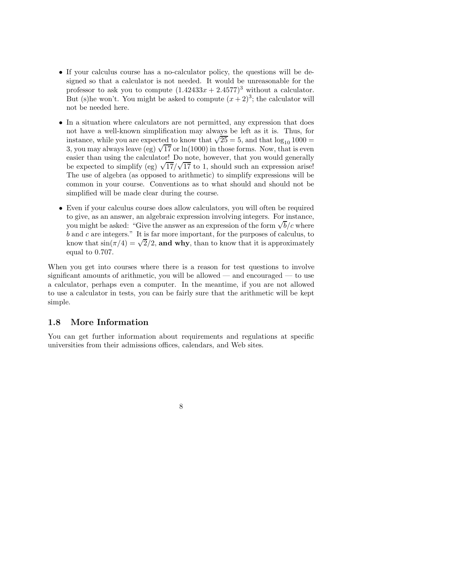- If your calculus course has a no-calculator policy, the questions will be designed so that a calculator is not needed. It would be unreasonable for the professor to ask you to compute  $(1.42433x + 2.4577)^3$  without a calculator. But (s)he won't. You might be asked to compute  $(x+2)^3$ ; the calculator will not be needed here.
- In a situation where calculators are not permitted, any expression that does not have a well-known simplification may always be left as it is. Thus, for instance, while you are expected to know that  $\sqrt{25} = 5$ , and that  $\log_{10} 1000 =$ 3, you may always leave (eg)  $\sqrt{17}$  or ln(1000) in those forms. Now, that is even easier than using the calculator! Do note, however, that you would generally easier than using the calculator! Do note, however, that you would generally<br>be expected to simplify (eg)  $\sqrt{17}/\sqrt{17}$  to 1, should such an expression arise! The use of algebra (as opposed to arithmetic) to simplify expressions will be common in your course. Conventions as to what should and should not be simplified will be made clear during the course.
- Even if your calculus course does allow calculators, you will often be required to give, as an answer, an algebraic expression involving integers. For instance, to give, as an answer, an algebraic expression involving integers. For instance, you might be asked: "Give the answer as an expression of the form  $\sqrt{b}/c$  where *b* and *c* are integers." It is far more important, for the purposes of calculus, to b and c are integers." It is far more important, for the purposes of calculus, to know that  $\sin(\pi/4) = \sqrt{2}/2$ , and why, than to know that it is approximately equal to 0*.*707.

When you get into courses where there is a reason for test questions to involve significant amounts of arithmetic, you will be allowed — and encouraged — to use a calculator, perhaps even a computer. In the meantime, if you are not allowed to use a calculator in tests, you can be fairly sure that the arithmetic will be kept simple.

### **1.8 More Information**

You can get further information about requirements and regulations at specific universities from their admissions offices, calendars, and Web sites.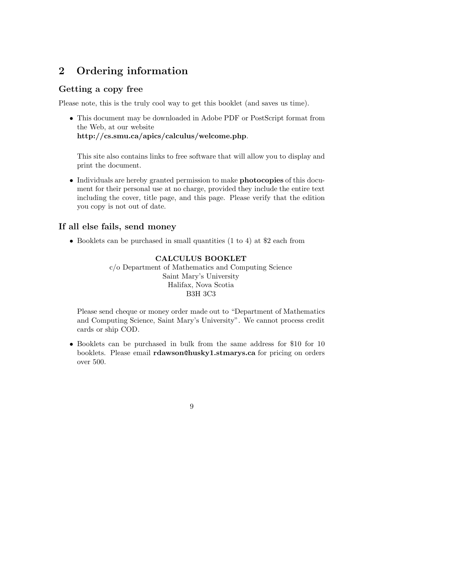# **2 Ordering information**

### **Getting a copy free**

Please note, this is the truly cool way to get this booklet (and saves us time).

• This document may be downloaded in Adobe PDF or PostScript format from the Web, at our website **http://cs.smu.ca/apics/calculus/welcome.php**.

This site also contains links to free software that will allow you to display and print the document.

• Individuals are hereby granted permission to make **photocopies** of this document for their personal use at no charge, provided they include the entire text including the cover, title page, and this page. Please verify that the edition you copy is not out of date.

### **If all else fails, send money**

• Booklets can be purchased in small quantities (1 to 4) at \$2 each from

### **CALCULUS BOOKLET**

c/o Department of Mathematics and Computing Science Saint Mary's University Halifax, Nova Scotia B3H 3C3

Please send cheque or money order made out to "Department of Mathematics and Computing Science, Saint Mary's University". We cannot process credit cards or ship COD.

- Booklets can be purchased in bulk from the same address for \$10 for 10 booklets. Please email **rdawson**@**husky1.stmarys.ca** for pricing on orders over 500.
	- 9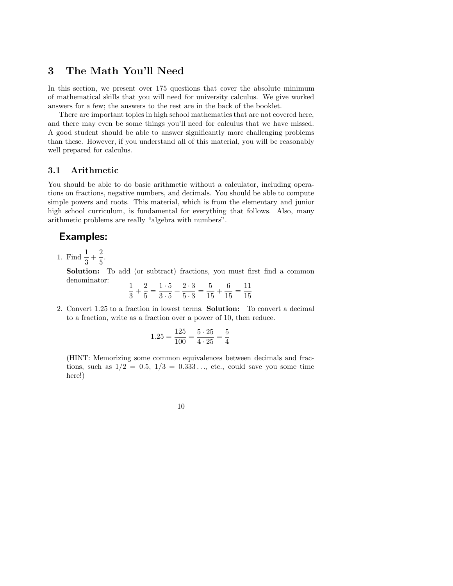## **3 The Math You'll Need**

In this section, we present over 175 questions that cover the absolute minimum of mathematical skills that you will need for university calculus. We give worked answers for a few; the answers to the rest are in the back of the booklet.

There are important topics in high school mathematics that are not covered here, and there may even be some things you'll need for calculus that we have missed. A good student should be able to answer significantly more challenging problems than these. However, if you understand all of this material, you will be reasonably well prepared for calculus.

### **3.1 Arithmetic**

You should be able to do basic arithmetic without a calculator, including operations on fractions, negative numbers, and decimals. You should be able to compute simple powers and roots. This material, which is from the elementary and junior high school curriculum, is fundamental for everything that follows. Also, many arithmetic problems are really "algebra with numbers".

## **Examples:**

1. Find  $\frac{1}{3} + \frac{2}{5}$  $\frac{2}{5}$ .

> **Solution:** To add (or subtract) fractions, you must first find a common denominator:

$$
\frac{1}{3} + \frac{2}{5} = \frac{1 \cdot 5}{3 \cdot 5} + \frac{2 \cdot 3}{5 \cdot 3} = \frac{5}{15} + \frac{6}{15} = \frac{11}{15}
$$

2. Convert 1*.*25 to a fraction in lowest terms. **Solution:** To convert a decimal to a fraction, write as a fraction over a power of 10, then reduce.

$$
1.25 = \frac{125}{100} = \frac{5 \cdot 25}{4 \cdot 25} = \frac{5}{4}
$$

(HINT: Memorizing some common equivalences between decimals and fractions, such as  $1/2 = 0.5$ ,  $1/3 = 0.333$ ..., etc., could save you some time here!)

10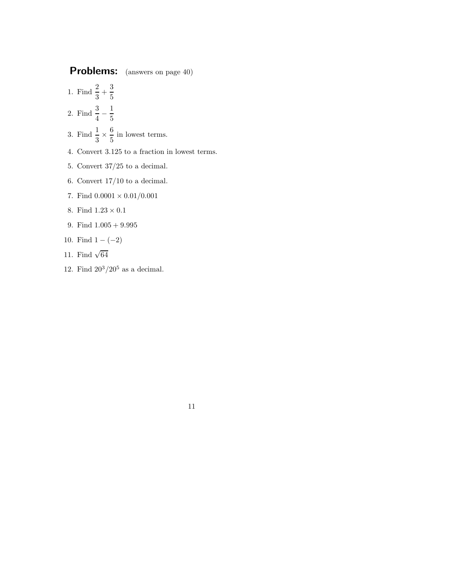1. Find  $\frac{2}{3} + \frac{3}{5}$ 5

- 2. Find  $\frac{3}{4} \frac{1}{5}$
- 3. Find  $\frac{1}{3} \times \frac{6}{5}$  $\frac{3}{5}$  in lowest terms.
- 4. Convert 3*.*125 to a fraction in lowest terms.
- 5. Convert 37*/*25 to a decimal.
- 6. Convert 17*/*10 to a decimal.
- 7. Find  $0.0001 \times 0.01/0.001$
- 8. Find  $1.23\times0.1$
- 9. Find 1*.*005 + 9*.*995
- 10. Find  $1 (-2)$
- 11. Find  $\sqrt{64}$
- 12. Find  $20^3/20^5$  as a decimal.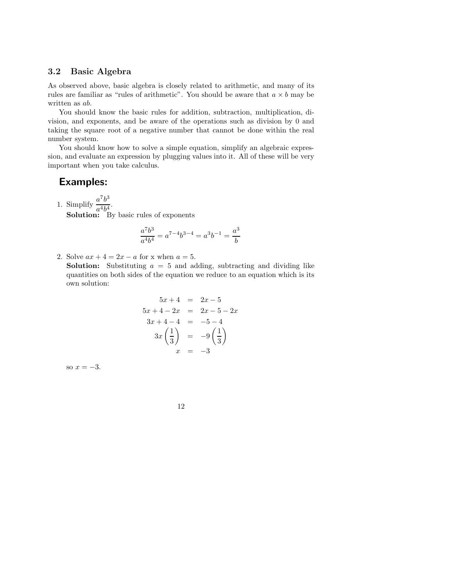### **3.2 Basic Algebra**

As observed above, basic algebra is closely related to arithmetic, and many of its rules are familiar as "rules of arithmetic". You should be aware that  $a \times b$  may be written as *ab*.

You should know the basic rules for addition, subtraction, multiplication, division, and exponents, and be aware of the operations such as division by 0 and taking the square root of a negative number that cannot be done within the real number system.

You should know how to solve a simple equation, simplify an algebraic expression, and evaluate an expression by plugging values into it. All of these will be very important when you take calculus.

## **Examples:**

1. Simplify  $\frac{a^7b^3}{a^4b^4}$ .<br> **Solution:** By basic rules of exponents

$$
\frac{a^7b^3}{a^4b^4}=a^{7-4}b^{3-4}=a^3b^{-1}=\frac{a^3}{b}
$$

2. Solve  $ax + 4 = 2x - a$  for x when  $a = 5$ .

**Solution:** Substituting  $a = 5$  and adding, subtracting and dividing like quantities on both sides of the equation we reduce to an equation which is its own solution:

$$
5x + 4 = 2x - 5
$$
  
\n
$$
5x + 4 - 2x = 2x - 5 - 2x
$$
  
\n
$$
3x + 4 - 4 = -5 - 4
$$
  
\n
$$
3x \left(\frac{1}{3}\right) = -9 \left(\frac{1}{3}\right)
$$
  
\n
$$
x = -3
$$

so  $x = -3$ .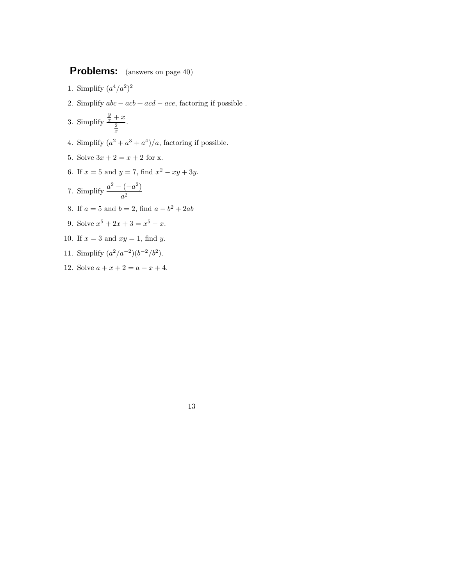- 1. Simplify  $(a^4/a^2)^2$
- 2. Simplify  $abc acb + acd ace$ , factoring if possible .
- 3. Simplify  $\frac{y}{x} + x$   $\frac{2}{x}$ .
- 4. Simplify  $(a^2 + a^3 + a^4)/a$ , factoring if possible.
- 5. Solve  $3x + 2 = x + 2$  for x.
- 6. If  $x = 5$  and  $y = 7$ , find  $x^2 xy + 3y$ .
- 7. Simplify  $\frac{a^2 (-a^2)}{a^2}$
- 8. If  $a = 5$  and  $b = 2$ , find  $a b^2 + 2ab$
- 9. Solve  $x^5 + 2x + 3 = x^5 x$ .
- 10. If *x* = 3 and *xy* = 1, find *y*.
- 11. Simplify  $(a^2/a^{-2})(b^{-2}/b^2)$ .
- 12. Solve  $a + x + 2 = a x + 4$ .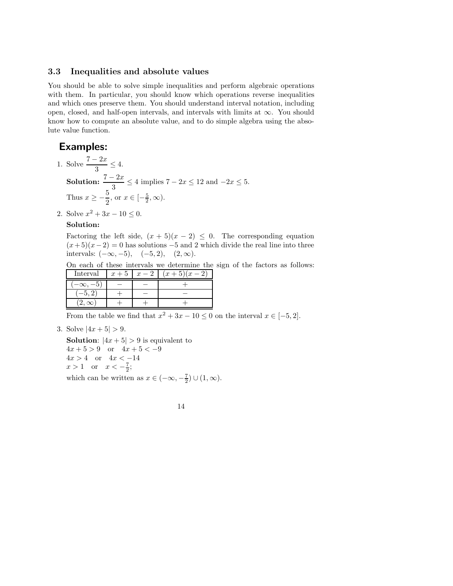#### **3.3 Inequalities and absolute values**

You should be able to solve simple inequalities and perform algebraic operations with them. In particular, you should know which operations reverse inequalities and which ones preserve them. You should understand interval notation, including open, closed, and half-open intervals, and intervals with limits at  $\infty$ . You should know how to compute an absolute value, and to do simple algebra using the absolute value function.

## **Examples:**

- 1. Solve  $\frac{7-2x}{3} \le 4$ . **Solution:**  $\frac{7-2x}{3} \le 4$  implies  $7-2x \le 12$  and  $-2x \le 5$ . Thus  $x \geq -\frac{5}{2}$  $\frac{3}{2}$ , or  $x \in [-\frac{5}{2}, \infty)$ .
- 2. Solve  $x^2 + 3x 10 \le 0$ .

### **Solution:**

Factoring the left side,  $(x + 5)(x - 2) \leq 0$ . The corresponding equation  $(x+5)(x-2) = 0$  has solutions –5 and 2 which divide the real line into three intervals: (−∞*,* −5)*,* (−5*,* 2)*,* (2*,* ∞).

On each of these intervals we determine the sign of the factors as follows: **Interval**  $x+5$   $x-2$   $(x+5)(x-2)$ 

|             | $\sim$<br>$\sim$ | $\sim$ | $\sim$<br>$\sim$ $\sim$ $\sim$ |
|-------------|------------------|--------|--------------------------------|
|             |                  |        |                                |
| -5          |                  |        |                                |
| 2, $\infty$ |                  |        |                                |

From the table we find that  $x^2 + 3x - 10 \le 0$  on the interval  $x \in [-5, 2]$ .

3. Solve  $|4x+5| > 9$ .

**Solution**:  $|4x+5| > 9$  is equivalent to  $4x + 5 > 9$  or  $4x + 5 < -9$  $4x > 4$  or  $4x < -14$  $x > 1$  or  $x < -\frac{7}{2}$ ; which can be written as  $x \in (-\infty, -\frac{7}{2}) \cup (1, \infty)$ .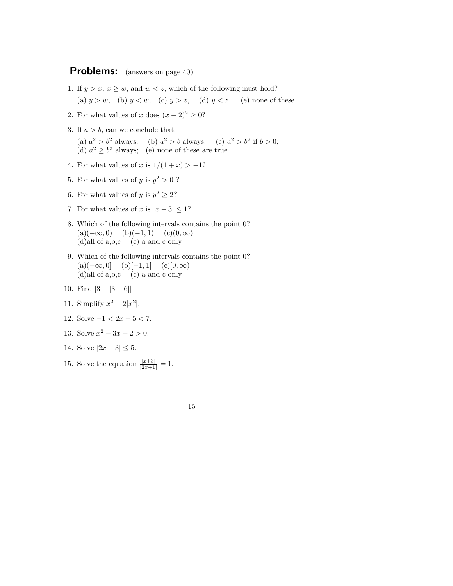- 1. If  $y > x$ ,  $x \geq w$ , and  $w < z$ , which of the following must hold? (a)  $y > w$ , (b)  $y < w$ , (c)  $y > z$ , (d)  $y < z$ , (e) none of these.
- 2. For what values of *x* does  $(x 2)^2 \ge 0$ ?
- 3. If  $a > b$ , can we conclude that:

(a)  $a^2 > b^2$  always; (b)  $a^2 > b$  always; (c)  $a^2 > b^2$  if  $b > 0$ ; (d)  $a^2 \ge b^2$  always; (e) none of these are true.

- 4. For what values of *x* is  $1/(1 + x) > -1$ ?
- 5. For what values of *y* is  $y^2 > 0$ ?
- 6. For what values of *y* is  $y^2 \geq 2$ ?
- 7. For what values of *x* is  $|x-3| \leq 1$ ?
- 8. Which of the following intervals contains the point 0?  $(a)(-\infty, 0)$  (b)(−1*,* 1) (c)(0*,* ∞) (d)all of a,b,c (e) a and c only
- 9. Which of the following intervals contains the point 0?  $(a)(-\infty, 0]$  (b)[−1*,* 1] (c)[0*,* ∞) (d)all of a,b,c (e) a and c only
- 10. Find |3 − |3 − 6||
- 11. Simplify  $x^2 2|x^2|$ .
- 12. Solve −1 *<* 2*x* − 5 *<* 7.
- 13. Solve  $x^2 3x + 2 > 0$ .
- 14. Solve  $|2x-3| \leq 5$ .
- 15. Solve the equation  $\frac{|x+3|}{|2x+1|} = 1$ .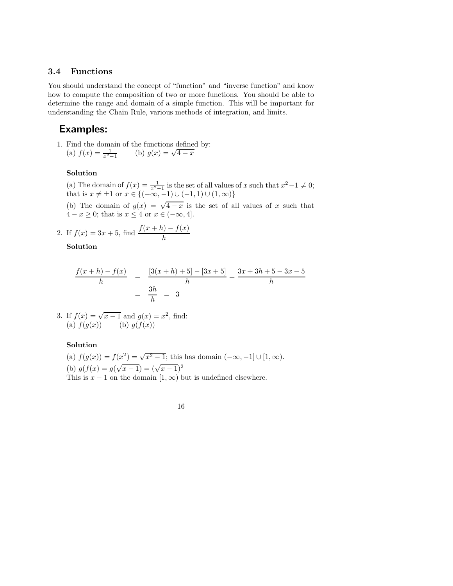### **3.4 Functions**

You should understand the concept of "function" and "inverse function" and know how to compute the composition of two or more functions. You should be able to determine the range and domain of a simple function. This will be important for understanding the Chain Rule, various methods of integration, and limits.

## **Examples:**

1. Find the domain of the functions defined by: Find the domain of the functions define<br>
(a)  $f(x) = \frac{1}{x^2-1}$  (b)  $g(x) = \sqrt{4-x^2}$ 

#### **Solution**

(a) The domain of  $f(x) = \frac{1}{x^2-1}$  is the set of all values of *x* such that  $x^2-1 \neq 0$ ; that is  $x \neq \pm 1$  or  $x \in \{(-\infty, -1) \cup (-1, 1) \cup (1, \infty)\}\$ 

(b) The domain of  $g(x) = \sqrt{4-x}$  is the set of all values of x such that  $4 - x \geq 0$ ; that is  $x \leq 4$  or  $x \in (-\infty, 4]$ .

2. If 
$$
f(x) = 3x + 5
$$
, find  $\frac{f(x+h) - f(x)}{h}$ 

**Solution**

$$
\frac{f(x+h) - f(x)}{h} = \frac{[3(x+h) + 5] - [3x + 5]}{h} = \frac{3x + 3h + 5 - 3x - 5}{h}
$$

$$
= \frac{3h}{h} = 3
$$

3. If 
$$
f(x) = \sqrt{x-1}
$$
 and  $g(x) = x^2$ , find:  
(a)  $f(g(x))$  (b)  $g(f(x))$ 

### **Solution**

(a)  $f(g(x)) = f(x^2) = \sqrt{x^2 - 1}$ ; this has domain  $(-\infty, -1] \cup [1, \infty)$ . (b)  $g(f(x)) = g(\sqrt{x-1}) = (\sqrt{x-1})^2$ This is  $x - 1$  on the domain  $(1, \infty)$  but is undefined elsewhere.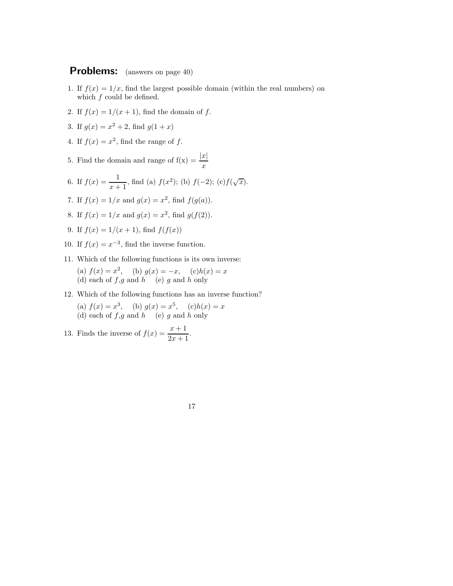- 1. If  $f(x)=1/x$ , find the largest possible domain (within the real numbers) on which *f* could be defined.
- 2. If  $f(x) = 1/(x+1)$ , find the domain of  $f$ .
- 3. If  $g(x) = x^2 + 2$ , find  $g(1+x)$
- 4. If  $f(x) = x^2$ , find the range of f.
- 5. Find the domain and range of  $f(x) = \frac{|x|}{x}$
- 6. If  $f(x) = \frac{1}{x+1}$ , find (a)  $f(x^2)$ ; (b)  $f(-2)$ ; (c) $f(\sqrt{x})$ .
- 7. If  $f(x) = 1/x$  and  $g(x) = x^2$ , find  $f(g(a))$ .
- 8. If  $f(x) = 1/x$  and  $g(x) = x^2$ , find  $g(f(2))$ .
- 9. If  $f(x) = 1/(x+1)$ , find  $f(f(x))$
- 10. If  $f(x) = x^{-3}$ , find the inverse function.
- 11. Which of the following functions is its own inverse: (a)  $f(x) = x^2$ , (b)  $g(x) = -x$ , (c) $h(x) = x$ (d) each of *f*,*g* and *h* (e) *g* and *h* only
- 12. Which of the following functions has an inverse function?
	- (a)  $f(x) = x^3$ , (b)  $g(x) = x^5$ , (c) $h(x) = x$ (d) each of *f*,*g* and *h* (e) *g* and *h* only
- 13. Finds the inverse of  $f(x) = \frac{x+1}{2x+1}$ .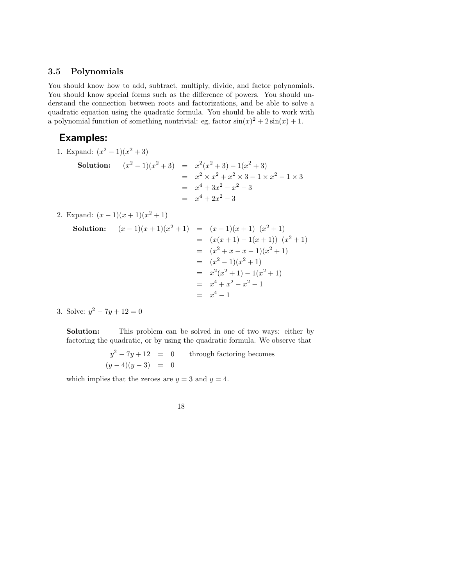### **3.5 Polynomials**

You should know how to add, subtract, multiply, divide, and factor polynomials. You should know special forms such as the difference of powers. You should understand the connection between roots and factorizations, and be able to solve a quadratic equation using the quadratic formula. You should be able to work with a polynomial function of something nontrivial: eg, factor  $sin(x)^2 + 2sin(x) + 1$ .

## **Examples:**

1. Expand:  $(x^2 - 1)(x^2 + 3)$ 

Solution: 
$$
(x^{2} - 1)(x^{2} + 3) = x^{2}(x^{2} + 3) - 1(x^{2} + 3)
$$

$$
= x^{2} \times x^{2} + x^{2} \times 3 - 1 \times x^{2} - 1 \times 3
$$

$$
= x^{4} + 3x^{2} - x^{2} - 3
$$

$$
= x^{4} + 2x^{2} - 3
$$

2. Expand:  $(x-1)(x+1)(x^2+1)$ 

**Solution:** (*x* − 1)(*x* + 1)(*x*<sup>2</sup> + 1) = (*x* − 1)(*x* + 1) (*x*<sup>2</sup> + 1) = (*x*(*x* + 1) − 1(*x* + 1)) (*x*<sup>2</sup> + 1) = (*x*<sup>2</sup> + *x* − *x* − 1)(*x*<sup>2</sup> + 1) = (*x*<sup>2</sup> − 1)(*x*<sup>2</sup> + 1) = *x*<sup>2</sup>(*x*<sup>2</sup> + 1) − 1(*x*<sup>2</sup> + 1) = *x*<sup>4</sup> + *x*<sup>2</sup> − *x*<sup>2</sup> − 1 = *x*<sup>4</sup> − 1

3. Solve:  $y^2 - 7y + 12 = 0$ 

**Solution:** This problem can be solved in one of two ways: either by factoring the quadratic, or by using the quadratic formula. We observe that

$$
y^2 - 7y + 12 = 0
$$
 through factoring becomes  

$$
(y-4)(y-3) = 0
$$

which implies that the zeroes are  $y = 3$  and  $y = 4$ .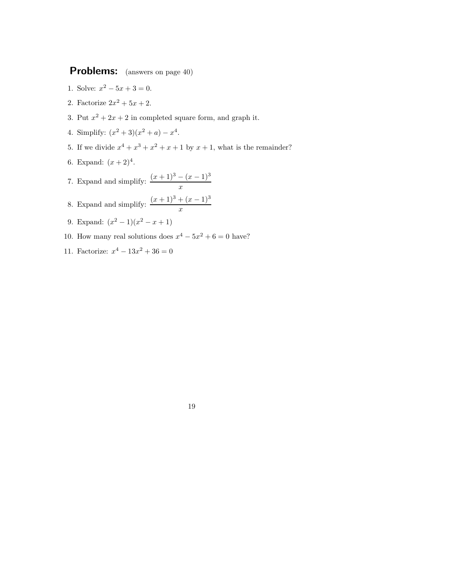- 1. Solve:  $x^2 5x + 3 = 0$ .
- 2. Factorize  $2x^2 + 5x + 2$ .
- 3. Put  $x^2 + 2x + 2$  in completed square form, and graph it.
- 4. Simplify:  $(x^2 + 3)(x^2 + a) x^4$ .
- 5. If we divide  $x^4 + x^3 + x^2 + x + 1$  by  $x + 1$ , what is the remainder?
- 6. Expand:  $(x+2)^4$ .
- 7. Expand and simplify:  $\frac{(x+1)^3 (x-1)^3}{x}$
- 8. Expand and simplify:  $\frac{(x+1)^3 + (x-1)^3}{x}$
- 9. Expand:  $(x^2 1)(x^2 x + 1)$
- 10. How many real solutions does  $x^4 5x^2 + 6 = 0$  have?
- 11. Factorize:  $x^4 13x^2 + 36 = 0$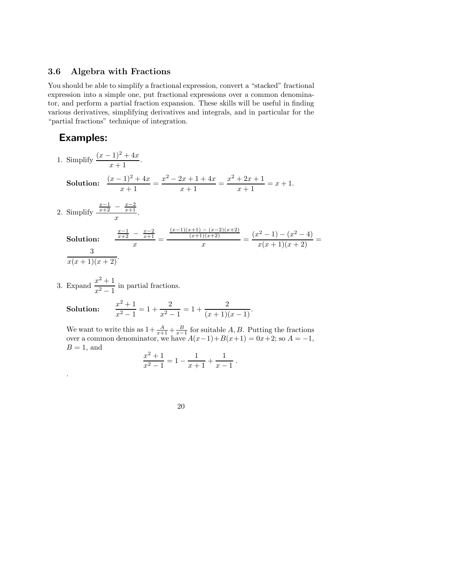### **3.6 Algebra with Fractions**

You should be able to simplify a fractional expression, convert a "stacked" fractional expression into a simple one, put fractional expressions over a common denominator, and perform a partial fraction expansion. These skills will be useful in finding various derivatives, simplifying derivatives and integrals, and in particular for the "partial fractions" technique of integration.

## **Examples:**

1. Simplify  $\frac{(x-1)^2 + 4x}{x+1}$ .

**Solution:**  $\frac{(x-1)^2 + 4x}{x+1} = \frac{x^2 - 2x + 1 + 4x}{x+1} = \frac{x^2 + 2x + 1}{x+1} = x+1.$ 

2. Simplify  $\frac{x-1}{x+2} - \frac{x-2}{x+1}$ .<br> *x* 

.

Solution: 
$$
\frac{\frac{x-1}{x+2} - \frac{x-2}{x+1}}{x} = \frac{\frac{(x-1)(x+1) - (x-2)(x+2)}{(x+1)(x+2)}}{x} = \frac{(x^2 - 1) - (x^2 - 4)}{x(x+1)(x+2)} = \frac{3}{x(x+1)(x+2)}.
$$

3. Expand  $\frac{x^2+1}{x^2-1}$  in partial fractions.

Solution: 
$$
\frac{x^2+1}{x^2-1} = 1 + \frac{2}{x^2-1} = 1 + \frac{2}{(x+1)(x-1)}.
$$

We want to write this as  $1+\frac{A}{x+1}+\frac{B}{x-1}$  for suitable *A*, *B*. Putting the fractions over a common denominator, we have  $A(x-1)+B(x+1) = 0x+2$ ; so  $A = -1$ ,  $B = 1$ , and

$$
\frac{x^2+1}{x^2-1} = 1 - \frac{1}{x+1} + \frac{1}{x-1} .
$$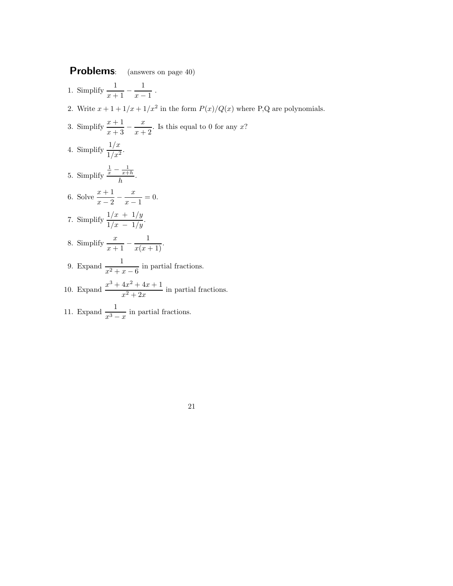- 1. Simplify  $\frac{1}{x+1} \frac{1}{x-1}$ .
- 2. Write  $x + 1 + 1/x + 1/x^2$  in the form  $P(x)/Q(x)$  where P,Q are polynomials.
- 3. Simplify  $\frac{x+1}{x+3} \frac{x}{x+2}$ . Is this equal to 0 for any *x*? 4. Simplify  $\frac{1/x}{1/x^2}$ . 5. Simplify  $\frac{\frac{1}{x} - \frac{1}{x+h}}{h}$ . 6. Solve  $\frac{x+1}{x-2} - \frac{x}{x-1} = 0$ . 7. Simplify  $\frac{1/x + 1/y}{1/x - 1/y}$ . 8. Simplify  $\frac{x}{x+1} - \frac{1}{x(x+1)}$ .
- 9. Expand  $\frac{1}{x^2 + x 6}$  in partial fractions.
- 10. Expand  $\frac{x^3 + 4x^2 + 4x + 1}{x^2 + 2x}$  in partial fractions.
- 11. Expand  $\frac{1}{x^3 x}$  in partial fractions.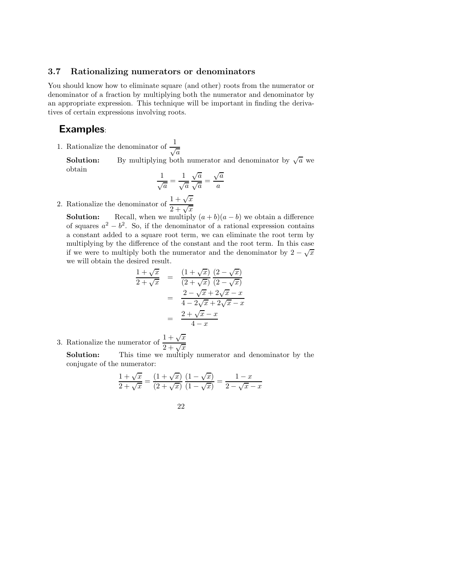### **3.7 Rationalizing numerators or denominators**

You should know how to eliminate square (and other) roots from the numerator or denominator of a fraction by multiplying both the numerator and denominator by an appropriate expression. This technique will be important in finding the derivatives of certain expressions involving roots.

### **Examples**:

1. Rationalize the denominator of  $\frac{1}{\sqrt{a}}$ 

**Solution:** By multiplying both numerator and denominator by  $\sqrt{a}$  we obtain

$$
\frac{1}{\sqrt{a}} = \frac{1}{\sqrt{a}} \frac{\sqrt{a}}{\sqrt{a}} = \frac{\sqrt{a}}{a}
$$

2. Rationalize the denominator of  $\frac{1+\sqrt{x}}{2+\sqrt{x}}$ 

**Solution:** Recall, when we multiply  $(a + b)(a - b)$  we obtain a difference of squares  $a^2 - b^2$ . So, if the denominator of a rational expression contains a constant added to a square root term, we can eliminate the root term by multiplying by the difference of the constant and the root term. In this case if we were to multiply both the numerator and the denominator by  $2 - \sqrt{x}$ we will obtain the desired result.

$$
\frac{1+\sqrt{x}}{2+\sqrt{x}} = \frac{(1+\sqrt{x})}{(2+\sqrt{x})} \frac{(2-\sqrt{x})}{(2-\sqrt{x})} \n= \frac{2-\sqrt{x}+2\sqrt{x-x}}{4-2\sqrt{x}+2\sqrt{x-x}} \n= \frac{2+\sqrt{x-x}}{4-x}
$$

3. Rationalize the numerator of  $\frac{1+\sqrt{x}}{2+\sqrt{x}}$ 

**Solution:** This time we multiply numerator and denominator by the conjugate of the numerator:

$$
\frac{1+\sqrt{x}}{2+\sqrt{x}} = \frac{(1+\sqrt{x})}{(2+\sqrt{x})} \frac{(1-\sqrt{x})}{(1-\sqrt{x})} = \frac{1-x}{2-\sqrt{x}-x}
$$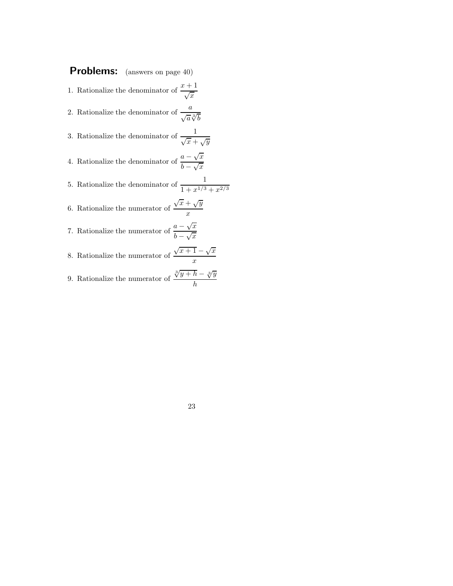- 1. Rationalize the denominator of  $\frac{x+1}{\sqrt{x}}$
- 2. Rationalize the denominator of  $\frac{a}{\sqrt{a}\sqrt[3]{b}}$
- 3. Rationalize the denominator of  $\frac{1}{\sqrt{x} + \sqrt{y}}$
- 4. Rationalize the denominator of  $\frac{a \sqrt{x}}{b \sqrt{x}}$
- 5. Rationalize the denominator of  $\frac{1}{1+x^{1/3}+x^{2/3}}$
- 6. Rationalize the numerator of  $\sqrt{x} + \sqrt{y}$ *x*
- 7. Rationalize the numerator of  $\frac{a \sqrt{x}}{b \sqrt{x}}$
- 8. Rationalize the numerator of  $\sqrt{x+1} \sqrt{x}$ *x*
- 9. Rationalize the numerator of  $\frac{\sqrt[3]{y+h} \sqrt[3]{y}}{1}$ *h*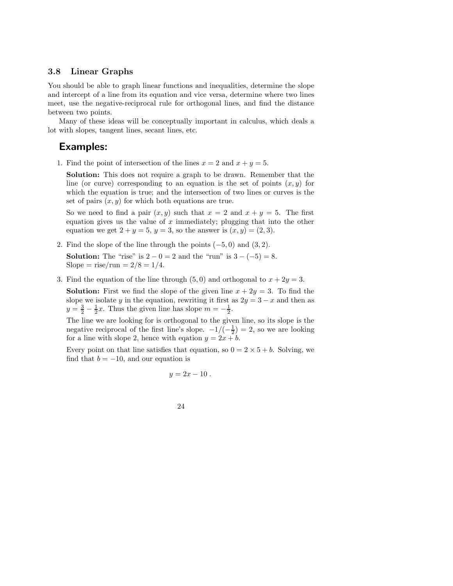### **3.8 Linear Graphs**

You should be able to graph linear functions and inequalities, determine the slope and intercept of a line from its equation and vice versa, determine where two lines meet, use the negative-reciprocal rule for orthogonal lines, and find the distance between two points.

Many of these ideas will be conceptually important in calculus, which deals a lot with slopes, tangent lines, secant lines, etc.

## **Examples:**

1. Find the point of intersection of the lines  $x = 2$  and  $x + y = 5$ .

**Solution:** This does not require a graph to be drawn. Remember that the line (or curve) corresponding to an equation is the set of points  $(x, y)$  for which the equation is true; and the intersection of two lines or curves is the set of pairs  $(x, y)$  for which both equations are true.

So we need to find a pair  $(x, y)$  such that  $x = 2$  and  $x + y = 5$ . The first equation gives us the value of *x* immediately; plugging that into the other equation we get  $2 + y = 5$ ,  $y = 3$ , so the answer is  $(x, y) = (2, 3)$ .

2. Find the slope of the line through the points (−5*,* 0) and (3*,* 2).

**Solution:** The "rise" is  $2 - 0 = 2$  and the "run" is  $3 - (-5) = 8$ .  $Slope = rise/run = 2/8 = 1/4.$ 

3. Find the equation of the line through  $(5, 0)$  and orthogonal to  $x + 2y = 3$ .

**Solution:** First we find the slope of the given line  $x + 2y = 3$ . To find the slope we isolate *y* in the equation, rewriting it first as  $2y = 3 - x$  and then as  $y = \frac{3}{2} - \frac{1}{2}x$ . Thus the given line has slope  $m = -\frac{1}{2}$ .

The line we are looking for is orthogonal to the given line, so its slope is the negative reciprocal of the first line's slope.  $-1/(-\frac{1}{2}) = 2$ , so we are looking for a line with slope 2, hence with eqation  $y = 2x + b$ .

Every point on that line satisfies that equation, so  $0 = 2 \times 5 + b$ . Solving, we find that  $b = -10$ , and our equation is

$$
y=2x-10.
$$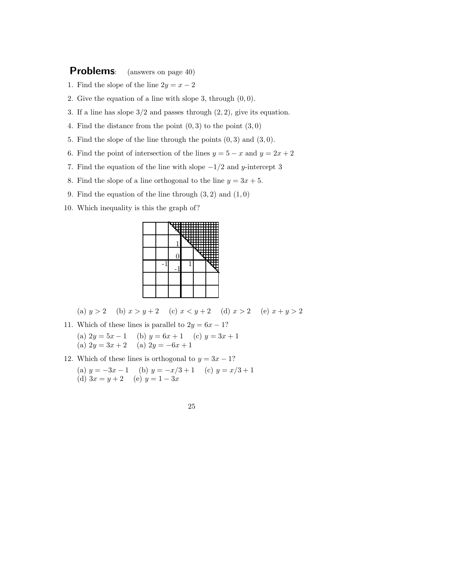- 1. Find the slope of the line  $2y = x 2$
- 2. Give the equation of a line with slope 3, through (0*,* 0).
- 3. If a line has slope 3*/*2 and passes through (2*,* 2), give its equation.
- 4. Find the distance from the point (0*,* 3) to the point (3*,* 0)
- 5. Find the slope of the line through the points (0*,* 3) and (3*,* 0).
- 6. Find the point of intersection of the lines  $y = 5 x$  and  $y = 2x + 2$
- 7. Find the equation of the line with slope −1*/*2 and *y*-intercept 3
- 8. Find the slope of a line orthogonal to the line  $y = 3x + 5$ .
- 9. Find the equation of the line through (3*,* 2) and (1*,* 0)
- 10. Which inequality is this the graph of?



(a)  $y > 2$  (b)  $x > y + 2$  (c)  $x < y + 2$  (d)  $x > 2$  (e)  $x + y > 2$ 

- 11. Which of these lines is parallel to  $2y = 6x 1$ ? (a)  $2y = 5x - 1$  (b)  $y = 6x + 1$  (c)  $y = 3x + 1$ (a)  $2y = 3x + 2$  (a)  $2y = -6x + 1$
- 12. Which of these lines is orthogonal to  $y = 3x 1$ ? (a)  $y = -3x - 1$  (b)  $y = -x/3 + 1$  (c)  $y = x/3 + 1$ (d)  $3x = y + 2$  (e)  $y = 1 - 3x$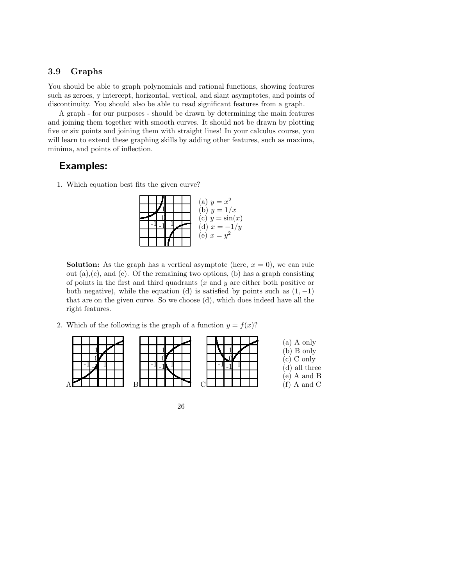### **3.9 Graphs**

You should be able to graph polynomials and rational functions, showing features such as zeroes, y intercept, horizontal, vertical, and slant asymptotes, and points of discontinuity. You should also be able to read significant features from a graph.

A graph - for our purposes - should be drawn by determining the main features and joining them together with smooth curves. It should not be drawn by plotting five or six points and joining them with straight lines! In your calculus course, you will learn to extend these graphing skills by adding other features, such as maxima, minima, and points of inflection.

### **Examples:**

1. Which equation best fits the given curve?

| (a) $y = x^2$     |
|-------------------|
| (b) $y = 1/x$     |
| (c) $y = \sin(x)$ |
| (d) $x = -1/y$    |
| (e) $x = y^2$     |
|                   |

**Solution:** As the graph has a vertical asymptote (here,  $x = 0$ ), we can rule out  $(a)$ , $(c)$ , and  $(e)$ . Of the remaining two options,  $(b)$  has a graph consisting of points in the first and third quadrants (*x* and *y* are either both positive or both negative), while the equation (d) is satisfied by points such as  $(1,-1)$ that are on the given curve. So we choose (d), which does indeed have all the right features.

2. Which of the following is the graph of a function  $y = f(x)$ ?



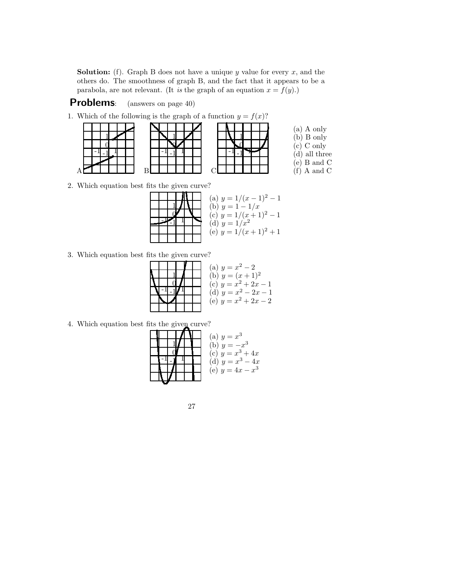**Solution:** (f). Graph B does not have a unique *y* value for every *x*, and the others do. The smoothness of graph B, and the fact that it appears to be a parabola, are not relevant. (It is the graph of an equation  $x = f(y)$ .)

## **Problems**: (answers on page 40)

|  |  | н |  |  |
|--|--|---|--|--|
|  |  |   |  |  |

|  |  |  | 1. Which of the following is the graph of a function $y = f(x)$ ? |  |  |  |  |  |  |  |  |
|--|--|--|-------------------------------------------------------------------|--|--|--|--|--|--|--|--|
|--|--|--|-------------------------------------------------------------------|--|--|--|--|--|--|--|--|

0 1

 $^{-1}$  -1 $^{-1}$ 

|  |  |  | ., |  |
|--|--|--|----|--|
|  |  |  |    |  |
|  |  |  |    |  |
|  |  |  |    |  |
|  |  |  |    |  |
|  |  |  |    |  |
|  |  |  |    |  |

(a) A only (b) B only (c) C only (d) all three (e) B and C  $(f)$  A and C

2. Which equation best fits the given curve?



3. Which equation best fits the given curve?

|  |  |  | (a) $y = x^2 - 2$      |
|--|--|--|------------------------|
|  |  |  | (b) $y = (x+1)^2$      |
|  |  |  | (c) $y = x^2 + 2x - 1$ |
|  |  |  | (d) $y = x^2 - 2x - 1$ |
|  |  |  | (e) $y = x^2 + 2x - 2$ |
|  |  |  |                        |

4. Which equation best fits the given curve?

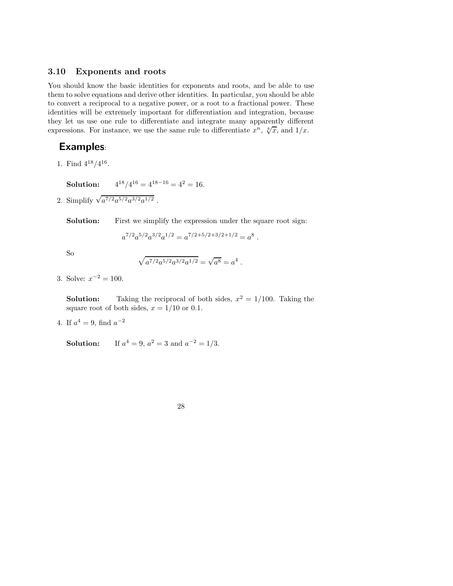#### **3.10 Exponents and roots**

You should know the basic identities for exponents and roots, and be able to use them to solve equations and derive other identities. In particular, you should be able to convert a reciprocal to a negative power, or a root to a fractional power. These identities will be extremely important for differentiation and integration, because they let us use one rule to differentiate and integrate many apparently different expressions. For instance, we use the same rule to differentiate  $x^n$ ,  $\sqrt[k]{x}$ , and  $1/x$ .

## **Examples**:

1. Find 418*/*416.

**Solution:**  $4^{18}/4^{16} = 4^{18-16} = 4^2 = 16.$ 

2. Simplify  $\sqrt{a^{7/2}a^{5/2}a^{3/2}a^{1/2}}$ .

**Solution:** First we simplify the expression under the square root sign:

$$
a^{7/2}a^{5/2}a^{3/2}a^{1/2} = a^{7/2+5/2+3/2+1/2} = a^8.
$$

So

$$
\sqrt{a^{7/2}a^{5/2}a^{3/2}a^{1/2}} = \sqrt{a^8} = a^4.
$$

3. Solve:  $x^{-2} = 100$ .

**Solution:** Taking the reciprocal of both sides,  $x^2 = 1/100$ . Taking the square root of both sides,  $x = 1/10$  or 0.1.

4. If  $a^4 = 9$ , find  $a^{-2}$ 

**Solution:** If  $a^4 = 9$ ,  $a^2 = 3$  and  $a^{-2} = 1/3$ .

28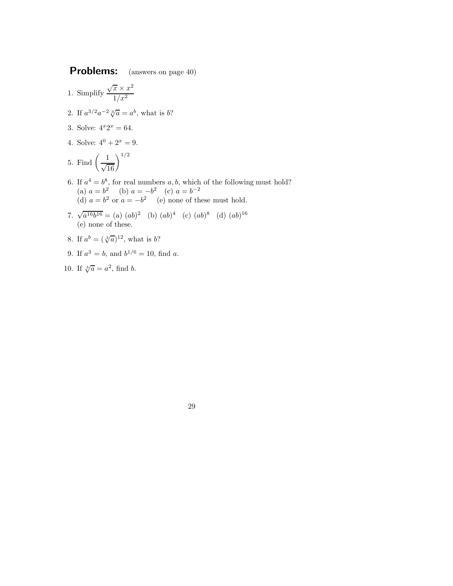- 1. Simplify  $\frac{\sqrt{x} \times x^2}{1+x^2}$ 1*/x*<sup>2</sup>
- 2. If  $a^{3/2}a^{-2}\sqrt[3]{a} = a^b$ , what is *b*?
- 3. Solve:  $4^x 2^x = 64$ .
- 4. Solve:  $4^0 + 2^x = 9$ .

5. Find 
$$
\left(\frac{1}{\sqrt{16}}\right)^{1/2}
$$

- 6. If  $a^4 = b^8$ , for real numbers *a*, *b*, which of the following must hold? (a)  $a = b^2$  (b)  $a = -b^2$  (c)  $a = b^{-2}$ (d)  $a = b^2$  or  $a = -b^2$  (e) none of these must hold.
- 7.  $\sqrt{a^{16}b^{16}} = (a) (ab)^2 (b) (ab)^4 (c) (ab)^8 (d) (ab)^{16}$ (e) none of these.
- 8. If  $a^b = (\sqrt[3]{a})^{12}$ , what is *b*?
- 9. If  $a^3 = b$ , and  $b^{1/6} = 10$ , find *a*.
- 10. If  $\sqrt[b]{a} = a^2$ , find *b*.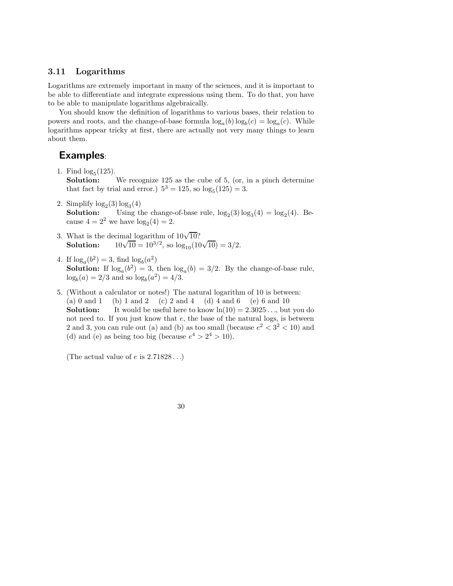### **3.11 Logarithms**

Logarithms are extremely important in many of the sciences, and it is important to be able to differentiate and integrate expressions using them. To do that, you have to be able to manipulate logarithms algebraically.

You should know the definition of logarithms to various bases, their relation to powers and roots, and the change-of-base formula  $\log_a(b) \log_b(c) = \log_a(c)$ . While logarithms appear tricky at first, there are actually not very many things to learn about them.

## **Examples**:

1. Find  $log_5(125)$ .<br>**Solution:** 

We recognize 125 as the cube of 5, (or, in a pinch determine that fact by trial and error.)  $5^3 = 125$ , so  $\log_5(125) = 3$ .

- 2. Simplify  $log_2(3) log_3(4)$ **Solution:** Using the change-of-base rule,  $\log_2(3) \log_3(4) = \log_2(4)$ . Because  $4 = 2^2$  we have  $log_2(4) = 2$ .
- 3. What is the decimal logarithm of  $10\sqrt{10}$ ? What is the decimal logarithm of  $10\sqrt{10}$ .<br>**Solution:**  $10\sqrt{10} = 10^{3/2}$ , so  $\log_{10}(10\sqrt{10}) = 3/2$ .
- 4. If  $\log_a(b^2) = 3$ , find  $\log_b(a^2)$ **Solution:** If  $\log_a(b^2) = 3$ , then  $\log_a(b) = 3/2$ . By the change-of-base rule,  $\log_b(a) = 2/3$  and so  $\log_b(a^2) = 4/3$ .
- 5. (Without a calculator or notes!) The natural logarithm of 10 is between: (a) 0 and 1 (b) 1 and 2 (c) 2 and 4 (d) 4 and 6 (e) 6 and 10 **Solution:** It would be useful here to know  $\ln(10) = 2.3025...$ , but you do not need to. If you just know that *e*, the base of the natural logs, is between 2 and 3, you can rule out (a) and (b) as too small (because  $e^2 < 3^2 < 10$ ) and (d) and (e) as being too big (because  $e^4 > 2^4 > 10$ ).

(The actual value of *e* is 2*.*71828 *...*)

30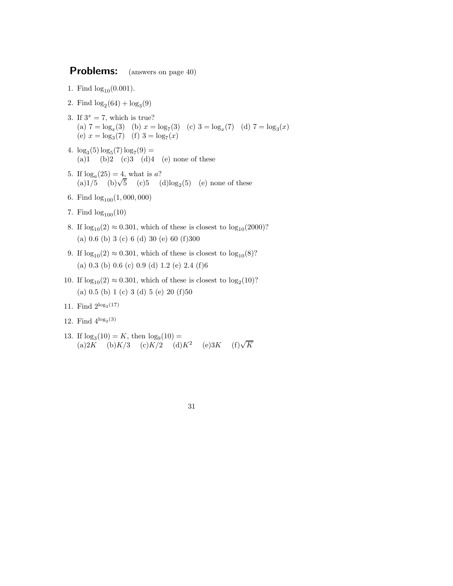- 1. Find  $log_{10}(0.001)$ .
- 2. Find  $log_2(64) + log_3(9)$
- 3. If  $3^x = 7$ , which is true? (a)  $7 = \log_x(3)$  (b)  $x = \log_7(3)$  (c)  $3 = \log_x(7)$  (d)  $7 = \log_3(x)$ (e)  $x = \log_3(7)$  (f)  $3 = \log_7(x)$
- 4.  $\log_3(5) \log_5(7) \log_7(9) =$ (a)1 (b)2 (c)3 (d)4 (e) none of these
- 5. If  $log_a(25) = 4$ , what is *a*? If  $\log_a(25) = 4$ , what is *a*?<br>(a)1/5 (b) $\sqrt{5}$  (c)5 (d)log<sub>2</sub>(5) (e) none of these
- 6. Find log100(1*,* 000*,* 000)
- 7. Find  $log_{100}(10)$
- 8. If  $\log_{10}(2) \approx 0.301$ , which of these is closest to  $\log_{10}(2000)$ ? (a) 0*.*6 (b) 3 (c) 6 (d) 30 (e) 60 (f)300
- 9. If  $\log_{10}(2) \approx 0.301$ , which of these is closest to  $\log_{10}(8)$ ? (a) 0*.*3 (b) 0*.*6 (c) 0*.*9 (d) 1*.*2 (e) 2*.*4 (f)6
- 10. If  $\log_{10}(2) \approx 0.301$ , which of these is closest to  $\log_2(10)$ ? (a) 0*.*5 (b) 1 (c) 3 (d) 5 (e) 20 (f)50
- 11. Find  $2^{\log_2(17)}$
- 12. Find  $4^{\log_2(3)}$
- 13. If  $\log_3(10) = K$ , then  $\log_9(10) =$ (a)2*K* (b)*K*/3 (c)*K*/2 (d)*K*<sup>2</sup> (e)3*K* (f) $\sqrt{K}$ 
	- 31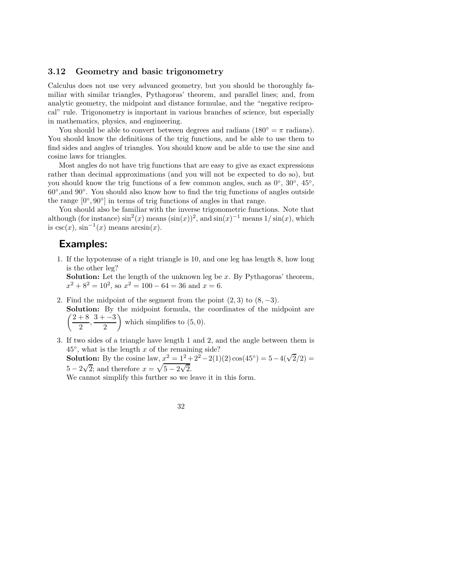### **3.12 Geometry and basic trigonometry**

Calculus does not use very advanced geometry, but you should be thoroughly familiar with similar triangles, Pythagoras' theorem, and parallel lines; and, from analytic geometry, the midpoint and distance formulae, and the "negative reciprocal" rule. Trigonometry is important in various branches of science, but especially in mathematics, physics, and engineering.

You should be able to convert between degrees and radians ( $180° = \pi$  radians). You should know the definitions of the trig functions, and be able to use them to find sides and angles of triangles. You should know and be able to use the sine and cosine laws for triangles.

Most angles do not have trig functions that are easy to give as exact expressions rather than decimal approximations (and you will not be expected to do so), but you should know the trig functions of a few common angles, such as  $0^\circ$ ,  $30^\circ$ ,  $45^\circ$ , 60◦,and 90◦. You should also know how to find the trig functions of angles outside the range  $[0^\circ, 90^\circ]$  in terms of trig functions of angles in that range.

You should also be familiar with the inverse trigonometric functions. Note that although (for instance)  $\sin^2(x)$  means  $(\sin(x))^2$ , and  $\sin(x)^{-1}$  means  $1/\sin(x)$ , which is  $\csc(x)$ ,  $\sin^{-1}(x)$  means  $\arcsin(x)$ .

## **Examples:**

1. If the hypotenuse of a right triangle is 10, and one leg has length 8, how long is the other leg?

**Solution:** Let the length of the unknown leg be *x*. By Pythagoras' theorem,  $x^2 + 8^2 = 10^2$ , so  $x^2 = 100 - 64 = 36$  and  $x = 6$ .

- 2. Find the midpoint of the segment from the point  $(2, 3)$  to  $(8, -3)$ . Solution: By the midpoint formula, the coordinates of the midpoint are  $\left(\frac{2+8}{2}, \frac{3+-3}{2}\right)$ 2  $\tilde{\setminus}$ which simplifies to (5*,* 0).
- 3. If two sides of a triangle have length 1 and 2, and the angle between them is  $45^\circ$ , what is the length x of the remaining side? 45°, what is the length x of the remaining side  $S$ <br>**Solution:** By the cosine law,  $x^2 = 1^2 + 2^2 - 2(1)(2) \cos(45^\circ) = 5 - 4(\sqrt{2}/2) =$ **5** – 2 $\sqrt{2}$ ; and therefore  $x = \sqrt{5 - 2\sqrt{2}}$

2. We cannot simplify this further so we leave it in this form.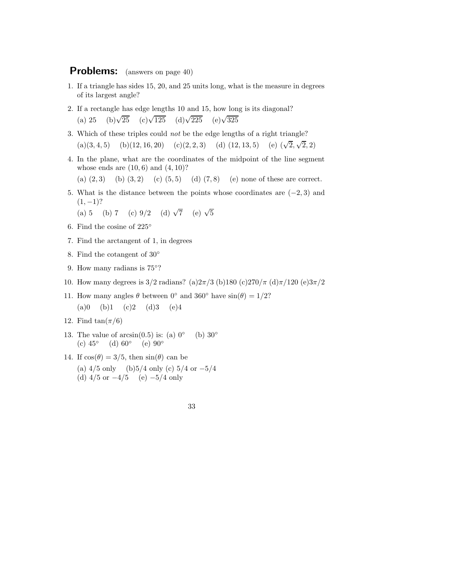- 1. If a triangle has sides 15, 20, and 25 units long, what is the measure in degrees of its largest angle?
- 2. If a rectangle has edge lengths 10 and 15, how long is its diagonal? (a) 25 (b) $\sqrt{25}$  (c) $\sqrt{125}$  (d) $\sqrt{225}$  (e) $\sqrt{325}$
- 3. Which of these triples could not be the edge lengths of a right triangle? (a)(3, 4, 5) (b)(12, 16, 20) (c)(2, 2, 3) (d) (12, 13, 5) (e)  $(\sqrt{2})$ √ 2*,* 2)
- 4. In the plane, what are the coordinates of the midpoint of the line segment whose ends are (10*,* 6) and (4*,* 10)?

(a) (2*,* 3) (b) (3*,* 2) (c) (5*,* 5) (d) (7*,* 8) (e) none of these are correct.

5. What is the distance between the points whose coordinates are (−2*,* 3) and  $(1, -1)$ ?

(a) 5 (b) 7 (c) 
$$
9/2
$$
 (d)  $\sqrt{7}$  (e)  $\sqrt{5}$ 

- 6. Find the cosine of 225◦
- 7. Find the arctangent of 1, in degrees
- 8. Find the cotangent of 30◦
- 9. How many radians is 75°?
- 10. How many degrees is 3/2 radians? (a)2*π/*3 (b)180 (c)270*/π* (d)*π/*120 (e)3*π/*2
- 11. How many angles  $\theta$  between  $0^\circ$  and  $360^\circ$  have  $\sin(\theta)=1/2$ ? (a)0 (b)1 (c)2 (d)3 (e)4
- 12. Find  $\tan(\pi/6)$
- 13. The value of  $arcsin(0.5)$  is: (a)  $0°$  (b)  $30°$ (c)  $45^{\circ}$  (d)  $60^{\circ}$  (e)  $90^{\circ}$
- 14. If  $cos(\theta)=3/5$ , then  $sin(\theta)$  can be (a) 4*/*5 only (b)5*/*4 only (c) 5*/*4 or −5*/*4 (d) 4*/*5 or −4*/*5 (e) −5*/*4 only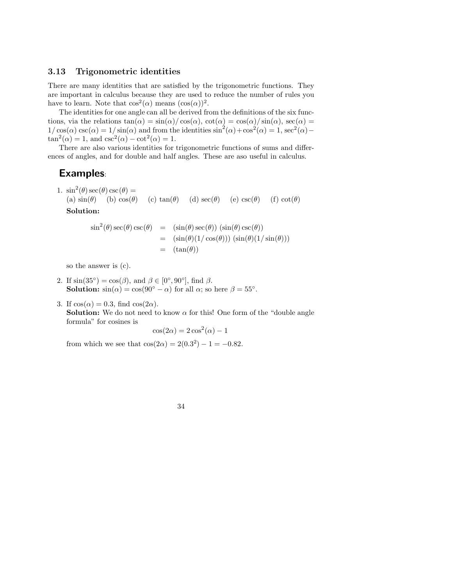#### **3.13 Trigonometric identities**

There are many identities that are satisfied by the trigonometric functions. They are important in calculus because they are used to reduce the number of rules you have to learn. Note that  $\cos^2(\alpha)$  means  $(\cos(\alpha))^2$ .

The identities for one angle can all be derived from the definitions of the six functions, via the relations  $tan(\alpha) = sin(\alpha) / cos(\alpha)$ ,  $cot(\alpha) = cos(\alpha) / sin(\alpha)$ ,  $sec(\alpha) =$  $1/\cos(\alpha) \csc(\alpha) = 1/\sin(\alpha)$  and from the identities  $\sin^2(\alpha) + \cos^2(\alpha) = 1$ ,  $\sec^2(\alpha) \tan^2(\alpha) = 1$ , and  $\csc^2(\alpha) - \cot^2(\alpha) = 1$ .

There are also various identities for trigonometric functions of sums and differences of angles, and for double and half angles. These are aso useful in calculus.

## **Examples**:

1.  $\sin^2(\theta)\sec(\theta)\csc(\theta) =$ (a)  $\sin(\theta)$  (b)  $\cos(\theta)$  (c)  $\tan(\theta)$  (d)  $\sec(\theta)$  (e)  $\csc(\theta)$  (f)  $\cot(\theta)$ **Solution:**

$$
\sin^2(\theta)\sec(\theta)\csc(\theta) = (\sin(\theta)\sec(\theta))(\sin(\theta)\csc(\theta))
$$
  
=  $(\sin(\theta)(1/\cos(\theta)))(\sin(\theta)(1/\sin(\theta)))$   
=  $(\tan(\theta))$ 

so the answer is (c).

- 2. If  $\sin(35^\circ) = \cos(\beta)$ , and  $\beta \in [0^\circ, 90^\circ]$ , find  $\beta$ . **Solution:**  $\sin(\alpha) = \cos(90^\circ - \alpha)$  for all  $\alpha$ ; so here  $\beta = 55^\circ$ .
- 3. If  $cos(\alpha) = 0.3$ , find  $cos(2\alpha)$ . **Solution:** We do not need to know  $\alpha$  for this! One form of the "double angle" formula" for cosines is

$$
\cos(2\alpha) = 2\cos^2(\alpha) - 1
$$

from which we see that  $\cos(2\alpha) = 2(0.3^2) - 1 = -0.82$ .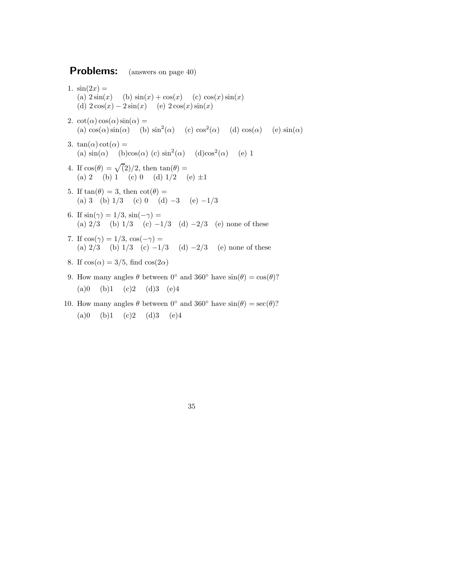- 1.  $sin(2x) =$ (a)  $2\sin(x)$  (b)  $\sin(x) + \cos(x)$  (c)  $\cos(x)\sin(x)$ (d)  $2\cos(x) - 2\sin(x)$  (e)  $2\cos(x)\sin(x)$
- 2.  $\cot(\alpha)\cos(\alpha)\sin(\alpha) =$ (a)  $cos(\alpha) sin(\alpha)$  (b)  $sin^2(\alpha)$  (c)  $cos^2(\alpha)$  (d)  $cos(\alpha)$  (e)  $sin(\alpha)$
- 3.  $tan(\alpha)cot(\alpha) =$ (a)  $\sin(\alpha)$  (b)cos( $\alpha$ ) (c)  $\sin^2(\alpha)$  (d)cos<sup>2</sup>( $\alpha$ ) (e) 1
- 4. If  $\cos(\theta) = \sqrt{2}/2$ , then  $\tan(\theta) =$ (a) 2 (b) 1 (c) 0 (d)  $1/2$  (e)  $\pm 1$
- 5. If  $tan(\theta) = 3$ , then  $cot(\theta) =$ (a)  $3 \t(b) 1/3$  (c)  $0 \t(d) -3$  (e)  $-1/3$
- 6. If  $\sin(\gamma) = 1/3$ ,  $\sin(-\gamma) =$ (a) 2*/*3 (b) 1*/*3 (c) −1*/*3 (d) −2*/*3 (e) none of these
- 7. If  $\cos(\gamma) = 1/3$ ,  $\cos(-\gamma) =$ (a) 2*/*3 (b) 1*/*3 (c) −1*/*3 (d) −2*/*3 (e) none of these
- 8. If  $cos(\alpha) = 3/5$ , find  $cos(2\alpha)$
- 9. How many angles  $\theta$  between  $0°$  and  $360°$  have  $\sin(\theta) = \cos(\theta)$ ?  $(a)0$  (b)1 (c)2 (d)3 (e)4
- 10. How many angles  $\theta$  between 0° and 360° have  $\sin(\theta) = \sec(\theta)$ ?  $(a)0$  (b)1 (c)2 (d)3 (e)4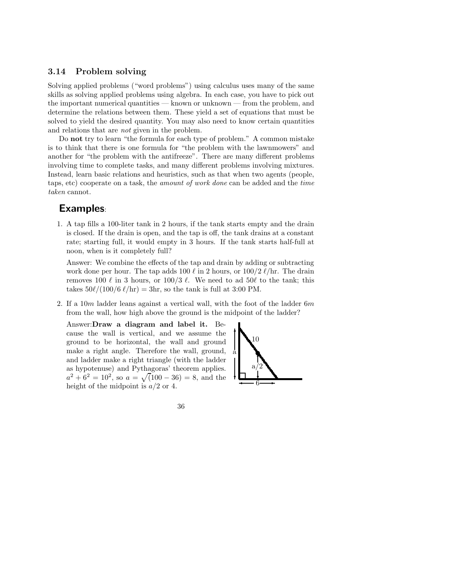### **3.14 Problem solving**

Solving applied problems ("word problems") using calculus uses many of the same skills as solving applied problems using algebra. In each case, you have to pick out the important numerical quantities — known or unknown — from the problem, and determine the relations between them. These yield a set of equations that must be solved to yield the desired quantity. You may also need to know certain quantities and relations that are not given in the problem.

Do **not** try to learn "the formula for each type of problem." A common mistake is to think that there is one formula for "the problem with the lawnmowers" and another for "the problem with the antifreeze". There are many different problems involving time to complete tasks, and many different problems involving mixtures. Instead, learn basic relations and heuristics, such as that when two agents (people, taps, etc) cooperate on a task, the amount of work done can be added and the time taken cannot.

## **Examples**:

1. A tap fills a 100-liter tank in 2 hours, if the tank starts empty and the drain is closed. If the drain is open, and the tap is off, the tank drains at a constant rate; starting full, it would empty in 3 hours. If the tank starts half-full at noon, when is it completely full?

Answer: We combine the effects of the tap and drain by adding or subtracting work done per hour. The tap adds  $100 \ell$  in 2 hours, or  $100/2 \ell/hr$ . The drain removes 100  $\ell$  in 3 hours, or 100/3  $\ell$ . We need to ad 50 $\ell$  to the tank; this takes  $50\ell/(100/6 \ell/hr) = 3hr$ , so the tank is full at 3:00 PM.

2. If a 10*m* ladder leans against a vertical wall, with the foot of the ladder 6*m* from the wall, how high above the ground is the midpoint of the ladder?

Answer:**Draw a diagram and label it.** Because the wall is vertical, and we assume the ground to be horizontal, the wall and ground make a right angle. Therefore the wall, ground, and ladder make a right triangle (with the ladder as hypotenuse) and Pythagoras' theorem applies.  $a^2 + 6^2 = 10^2$ , so  $a = \sqrt{(100 - 36)} = 8$ , and the height of the midpoint is *a/*2 or 4.

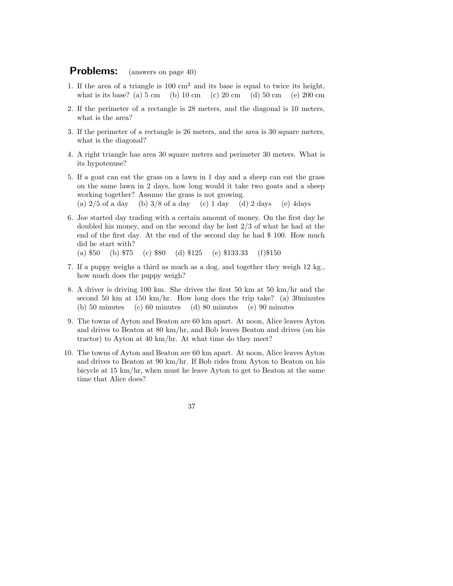- 1. If the area of a triangle is  $100 \text{ cm}^2$  and its base is equal to twice its height, what is its base? (a)  $5 \text{ cm}$  (b)  $10 \text{ cm}$  (c)  $20 \text{ cm}$  (d)  $50 \text{ cm}$  (e)  $200 \text{ cm}$
- 2. If the perimeter of a rectangle is 28 meters, and the diagonal is 10 meters, what is the area?
- 3. If the perimeter of a rectangle is 26 meters, and the area is 30 square meters, what is the diagonal?
- 4. A right triangle has area 30 square meters and perimeter 30 meters. What is its hypotenuse?
- 5. If a goat can eat the grass on a lawn in 1 day and a sheep can eat the grass on the same lawn in 2 days, how long would it take two goats and a sheep working together? Assume the grass is not growing. (a) 2*/*5 of a day (b) 3*/*8 of a day (c) 1 day (d) 2 days (e) 4days
- 6. Joe started day trading with a certain amount of money. On the first day he doubled his money, and on the second day he lost 2/3 of what he had at the end of the first day. At the end of the second day he had \$ 100. How much did he start with? (a) \$50 (b) \$75 (c) \$80 (d) \$125 (e) \$133.33 (f)\$150
- 7. If a puppy weighs a third as much as a dog, and together they weigh 12 kg., how much does the puppy weigh?
- 8. A driver is driving 100 km. She drives the first 50 km at 50 km/hr and the second 50 km at 150 km/hr. How long does the trip take? (a) 30 minutes (b) 50 minutes (c) 60 minutes (d) 80 minutes (e) 90 minutes
- 9. The towns of Ayton and Beaton are 60 km apart. At noon, Alice leaves Ayton and drives to Beaton at 80 km/hr, and Bob leaves Beaton and drives (on his tractor) to Ayton at 40 km/hr. At what time do they meet?
- 10. The towns of Ayton and Beaton are 60 km apart. At noon, Alice leaves Ayton and drives to Beaton at 90 km/hr. If Bob rides from Ayton to Beaton on his bicycle at 15 km/hr, when must he leave Ayton to get to Beaton at the same time that Alice does?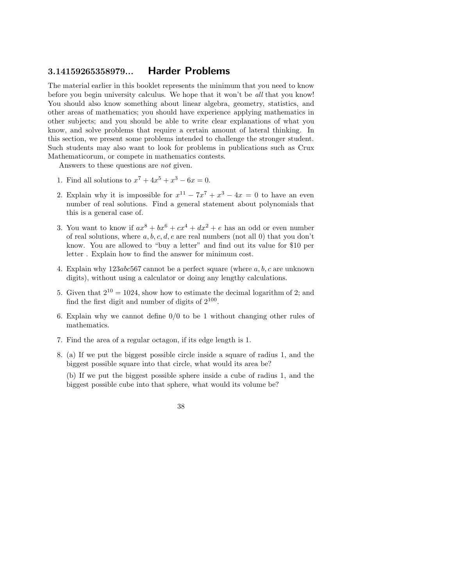## **3.14159265358979... Harder Problems**

The material earlier in this booklet represents the minimum that you need to know before you begin university calculus. We hope that it won't be all that you know! You should also know something about linear algebra, geometry, statistics, and other areas of mathematics; you should have experience applying mathematics in other subjects; and you should be able to write clear explanations of what you know, and solve problems that require a certain amount of lateral thinking. In this section, we present some problems intended to challenge the stronger student. Such students may also want to look for problems in publications such as Crux Mathematicorum, or compete in mathematics contests.

Answers to these questions are not given.

- 1. Find all solutions to  $x^7 + 4x^5 + x^3 6x = 0$ .
- 2. Explain why it is impossible for  $x^{11} 7x^7 + x^3 4x = 0$  to have an even number of real solutions. Find a general statement about polynomials that this is a general case of.
- 3. You want to know if  $ax^8 + bx^6 + cx^4 + dx^2 + e$  has an odd or even number of real solutions, where *a, b, c, d, e* are real numbers (not all 0) that you don't know. You are allowed to "buy a letter" and find out its value for \$10 per letter . Explain how to find the answer for minimum cost.
- 4. Explain why 123*abc*567 cannot be a perfect square (where *a, b, c* are unknown digits), without using a calculator or doing any lengthy calculations.
- 5. Given that  $2^{10} = 1024$ , show how to estimate the decimal logarithm of 2; and find the first digit and number of digits of  $2^{100}$ .
- 6. Explain why we cannot define 0*/*0 to be 1 without changing other rules of mathematics.
- 7. Find the area of a regular octagon, if its edge length is 1.
- 8. (a) If we put the biggest possible circle inside a square of radius 1, and the biggest possible square into that circle, what would its area be?

(b) If we put the biggest possible sphere inside a cube of radius 1, and the biggest possible cube into that sphere, what would its volume be?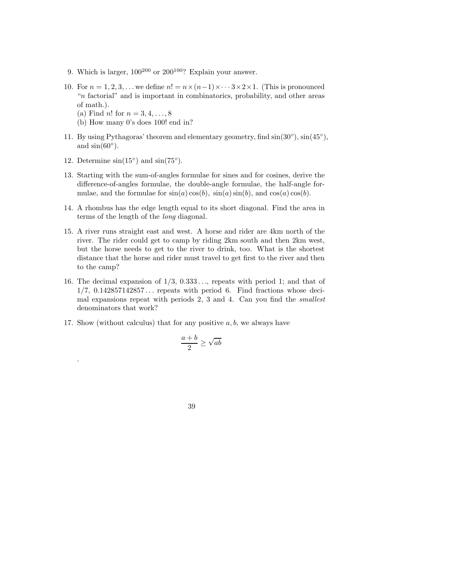- 9. Which is larger,  $100^{200}$  or  $200^{100}$ ? Explain your answer.
- 10. For  $n = 1, 2, 3, \ldots$  we define  $n! = n \times (n-1) \times \cdots 3 \times 2 \times 1$ . (This is pronounced "*n* factorial" and is important in combinatorics, probability, and other areas of math.).
	- (a) Find *n*! for *n* = 3*,* 4*,...,* 8
	- (b) How many 0's does 100! end in?
- 11. By using Pythagoras' theorem and elementary geometry, find  $sin(30°)$ ,  $sin(45°)$ , and  $\sin(60^\circ)$ .
- 12. Determine  $sin(15°)$  and  $sin(75°)$ .

.

- 13. Starting with the sum-of-angles formulae for sines and for cosines, derive the difference-of-angles formulae, the double-angle formulae, the half-angle formulae, and the formulae for  $sin(a) cos(b)$ ,  $sin(a) sin(b)$ , and  $cos(a) cos(b)$ .
- 14. A rhombus has the edge length equal to its short diagonal. Find the area in terms of the length of the long diagonal.
- 15. A river runs straight east and west. A horse and rider are 4km north of the river. The rider could get to camp by riding 2km south and then 2km west, but the horse needs to get to the river to drink, too. What is the shortest distance that the horse and rider must travel to get first to the river and then to the camp?
- 16. The decimal expansion of 1*/*3, 0*.*333 *...*, repeats with period 1; and that of 1*/*7, 0*.*142857142857 *...* repeats with period 6. Find fractions whose decimal expansions repeat with periods 2, 3 and 4. Can you find the smallest denominators that work?
- 17. Show (without calculus) that for any positive *a, b*, we always have

$$
\frac{a+b}{2} \geq \sqrt{ab}
$$

39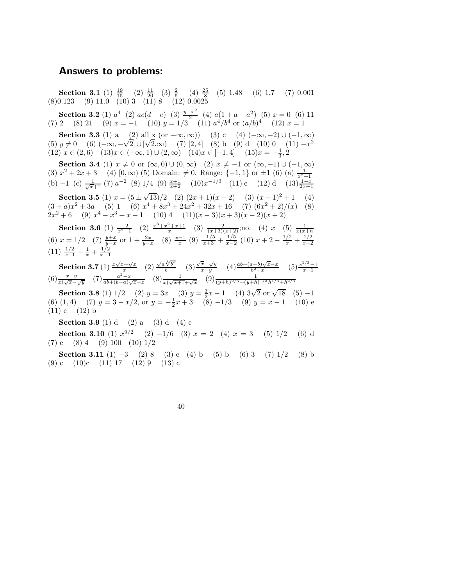### **Answers to problems:**

**Section 3.1** (1)  $\frac{19}{15}$  (2)  $\frac{11}{20}$  (3)  $\frac{2}{5}$  (4)  $\frac{25}{8}$  (5) 1.48 (6) 1.7 (7) 0.001 (8)0*.*123 (9) 11*.*0 (10) 3 (11) 8 (12) 0*.*0025

**Section 3.2** (1)  $a^4$  (2)  $ac(d-e)$  (3)  $\frac{y-x^2}{2}$  (4)  $a(1+a+a^2)$  (5)  $x=0$  (6) 11 (7) 2 (8) 21 (9)  $x = -1$  (10)  $y = 1/3$  (11)  $a^4/b^4$  or  $(a/b)^4$  (12)  $x = 1$ 

**Section 3.3** (1) a (2) all x (or  $-\infty$ *,*  $\infty$ )) (3) c (4)  $(-\infty, -2) \cup (-1, \infty)$ **Section 3.3** (1) a (2) all x (or  $-\infty, \infty$ )) (3) c (4)  $(-\infty, -2) \cup (-1, \infty)$ <br>
(5)  $y \neq 0$  (6)  $(-\infty, -\sqrt{2}] \cup [\sqrt{2}, \infty)$  (7) [2, 4] (8) b (9) d (10) 0 (11)  $-x^2$ (12)  $x \in (2, 6)$  (13) $x \in (-\infty, 1) \cup (2, \infty)$  (14) $x \in [-1, 4]$  (15) $x = -\frac{4}{3}, 2$ 

**Section 3.4** (1)  $x \neq 0$  or  $(\infty, 0) \cup (0, \infty)$  (2)  $x \neq -1$  or  $(\infty, -1) \cup (-1, \infty)$ (3)  $x^2 + 2x + 3$  (4) [0, ∞) (5) Domain:  $\neq$  0. Range: {-1, 1} or  $\pm$ 1 (6) (a)  $\frac{1}{x^2+1}$ (b) −1 (c)  $\frac{1}{\sqrt{x}+1}$  (7)  $a^{-2}$  (8) 1/4 (9)  $\frac{x+1}{x+2}$  (10) $x^{-1/3}$  (11) e (12) d (13) $\frac{1-x}{2x-1}$ 

**Section 3.5** (1)  $x = (5 \pm \sqrt{13})/2$  (2)  $(2x + 1)(x + 2)$  (3)  $(x + 1)^2 + 1$  (4)  $(3 + a)x^{2} + 3a$  (5) 1 (6)  $x^{4} + 8x^{3} + 24x^{2} + 32x + 16$  (7)  $(6x^{2} + 2)/(x)$  (8)  $2x^2 + 6$  (9)  $x^4 - x^3 + x - 1$  (10) 4 (11)( $x - 3$ )( $x + 3$ )( $x - 2$ )( $x + 2$ )

**Section 3.6** (1)  $\frac{-2}{x^2-1}$  (2)  $\frac{x^3+x^2+x+1}{x}$  (3)  $\frac{2}{(x+3)(x+2)}$ ;no. (4) *x* (5)  $\frac{1}{x(x+h)}$ (6)  $x = 1/2$  (7)  $\frac{y+x}{y-x}$  or  $1 + \frac{2x}{y-x}$  (8)  $\frac{x-1}{x}$  (9)  $\frac{-1/5}{x+3} + \frac{1/5}{x-2}$  (10)  $x+2-\frac{1/2}{x}+\frac{1/2}{x+2}$  $(11)$   $\frac{1/2}{x+1} - \frac{1}{x} + \frac{1/2}{x-1}$ 

**Section 3.7** (1)  $\frac{x\sqrt{x}+\sqrt{x}}{x}$  (2)  $\frac{\sqrt{a}\sqrt[3]{b^2}}{b}$  $\frac{\sqrt{b^2}}{b}$  (3) **Section 3.7** (1)  $\frac{x\sqrt{x}+\sqrt{x}}{x}$  (2)  $\frac{\sqrt{a}\sqrt[3]{b^2}}{b}$  (3)  $\frac{\sqrt{x}-\sqrt{y}}{x-y}$  (4)  $\frac{ab+(a-b)\sqrt{x-x}}{b^2-x}$  (5)  $\frac{x^{1/3}-1}{x-1}$ <br>
(6)  $\frac{x-y}{x(\sqrt{x}-\sqrt{y})}$  (7)  $\frac{a^2-x}{ab+(b-a)\sqrt{x-x}}$  (8)  $\frac{1}{x(\sqrt{x+1}+\sqrt{x})}$  (9)  $\frac{1}{(y+h)^{2/3}+(y$ 

**Section 3.8** (1)  $1/2$  (2)  $y = 3x$  (3)  $y = \frac{3}{2}x - 1$  (4)  $3\sqrt{2}$  or  $\sqrt{18}$  (5) −1 (6) (1, 4) (7)  $y = 3 - x/2$ , or  $y = -\frac{1}{2}x + 3$  (8)  $-1/3$  (9)  $y = x - 1$  (10) e  $(11) c (12) b$ 

**Section 3.9** (1) d (2) a (3) d (4) e

**Section 3.10** (1)  $x^{9/2}$  (2) −1/6 (3)  $x = 2$  (4)  $x = 3$  (5) 1/2 (6) d (7) c (8) 4 (9) 100 (10) 1*/*2

**Section 3.11** (1)  $-3$  (2) 8 (3) e (4) b (5) b (6) 3 (7) 1/2 (8) b (9) c (10)c (11) 17 (12) 9 (13) c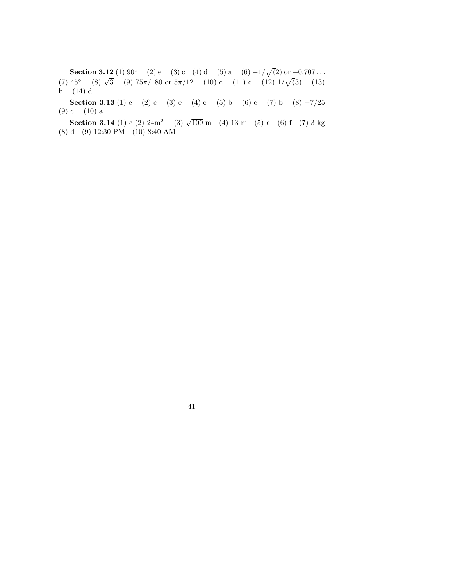**Section 3.12** (1) 90° (2) e (3) c (4) d (5) a (6)  $-1/\sqrt{2}$  or  $-0.707...$ **Section 3.12** (1) 90 (2) e (3) c (4) d (3) a (0)  $-1/\sqrt{2}$  or  $-0.101...$ <br>(7) 45° (8)  $\sqrt{3}$  (9) 75 $\pi$ /180 or  $5\pi/12$  (10) c (11) c (12)  $1/\sqrt{3}$ ) (13)  $\overrightarrow{b}$  (14) d

**Section 3.13** (1) e (2) c (3) e (4) e (5) b (6) c (7) b (8)  $-7/25$ (9) c (10) a

**Section 3.14** (1) c (2)  $24m^2$  (3)  $\sqrt{109}$  m (4) 13 m (5) a (6) f (7) 3 kg (8) d (9) 12:30 PM (10) 8:40 AM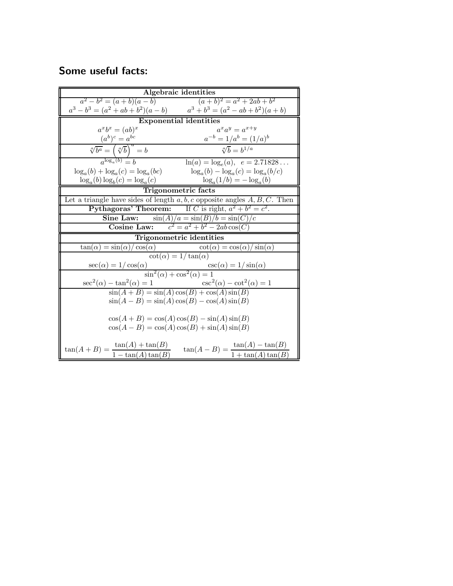# **Some useful facts:**

|                                                                                                                | Algebraic identities                                                                                                  |
|----------------------------------------------------------------------------------------------------------------|-----------------------------------------------------------------------------------------------------------------------|
|                                                                                                                |                                                                                                                       |
| $a^2 - b^2 = (a + b)(a - b)$<br>$a^3 - b^3 = (a^2 + ab + b^2)(a - b)$<br>$a^3 + b^3 = (a^2 - ab + b^2)(a + b)$ |                                                                                                                       |
|                                                                                                                | <b>Exponential identities</b>                                                                                         |
| $a^x b^x = (ab)^x$                                                                                             | $a^xa^y=a^{x+y}$                                                                                                      |
|                                                                                                                | $a^{-b} = 1/a^b = (1/a)^b$                                                                                            |
| $\frac{(a^b)^c = a^{bc}}{\sqrt[a]{b^a} = \left(\sqrt[a]{b}\right)^a = b}$<br>$\frac{a^{\log_a(b)} = b}{a}$     | $\sqrt[a]{b} = b^{1/a}$                                                                                               |
|                                                                                                                | $\ln(a) = \log_e(a), e = 2.71828$                                                                                     |
| $\log_a(b) + \log_a(c) = \log_a(bc)$                                                                           | $\log_a(b) - \log_a(c) = \log_a(b/c)$                                                                                 |
| $\log_a(b) \log_b(c) = \log_a(c)$                                                                              | $\log_a(1/b) = -\log_a(b)$                                                                                            |
| <b>Trigonometric facts</b>                                                                                     |                                                                                                                       |
|                                                                                                                | Let a triangle have sides of length $a, b, c$ opposite angles $A, B, C$ . Then                                        |
|                                                                                                                | <b>Pythagoras' Theorem:</b> If C is right, $a^2 + b^2 = c^2$ .                                                        |
| Sine Law:                                                                                                      | ine Law: $\frac{\sin(A)/a = \sin(B)/b = \sin(C)/c}{\text{Cosine Law:}}$<br>$\frac{c^2 = a^2 + b^2 - 2ab\cos(C)}{c^2}$ |
|                                                                                                                |                                                                                                                       |
|                                                                                                                | Trigonometric identities                                                                                              |
| $\tan(\alpha) = \sin(\alpha)/\cos(\alpha)$                                                                     | $\cot(\alpha) = \cos(\alpha)/\sin(\alpha)$                                                                            |
| $\cot(\alpha) = 1/\tan(\alpha)$                                                                                |                                                                                                                       |
| $\sec(\alpha) = 1/\cos(\alpha)$ $\csc(\alpha) = 1/\sin(\alpha)$<br>$\sin^2(\alpha) + \cos^2(\alpha) = 1$       |                                                                                                                       |
|                                                                                                                |                                                                                                                       |
| $\sec^2(\alpha) - \tan^2(\alpha) = 1$                                                                          | $\csc^2(\alpha) - \cot^2(\alpha) = 1$                                                                                 |
|                                                                                                                |                                                                                                                       |
|                                                                                                                | $\sin(A+B) = \sin(A)\cos(B) + \cos(A)\sin(B)$                                                                         |
| $\sin(A - B) = \sin(A)\cos(B) - \cos(A)\sin(B)$                                                                |                                                                                                                       |
| $\cos(A+B) = \cos(A)\cos(B) - \sin(A)\sin(B)$<br>$\cos(A-B) = \cos(A)\cos(B) + \sin(A)\sin(B)$                 |                                                                                                                       |